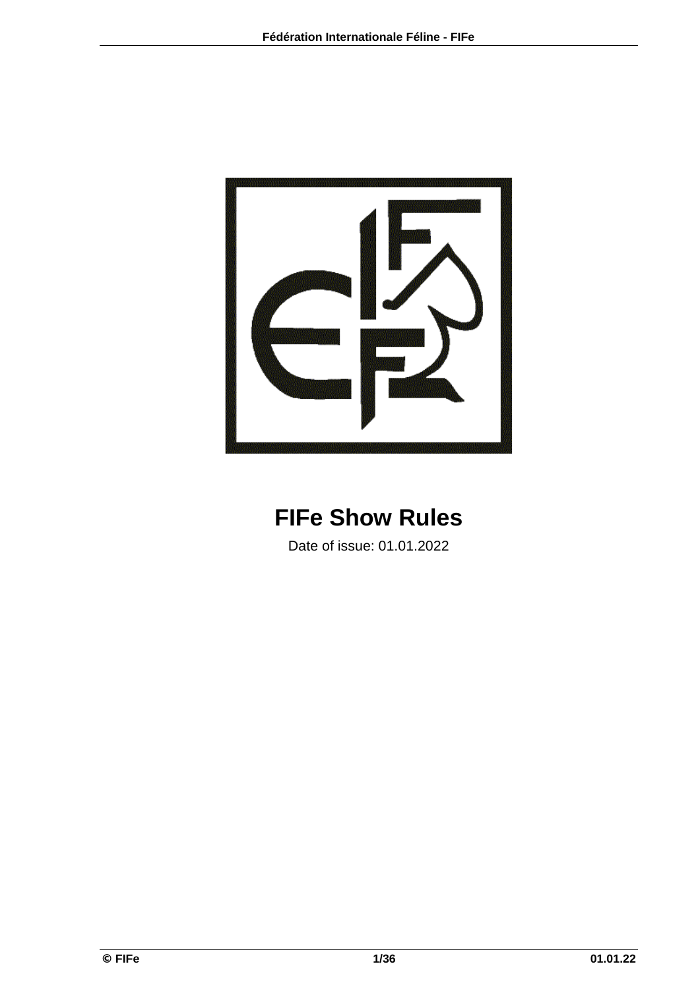

# **FIFe Show Rules**

Date of issue: 01.01.2022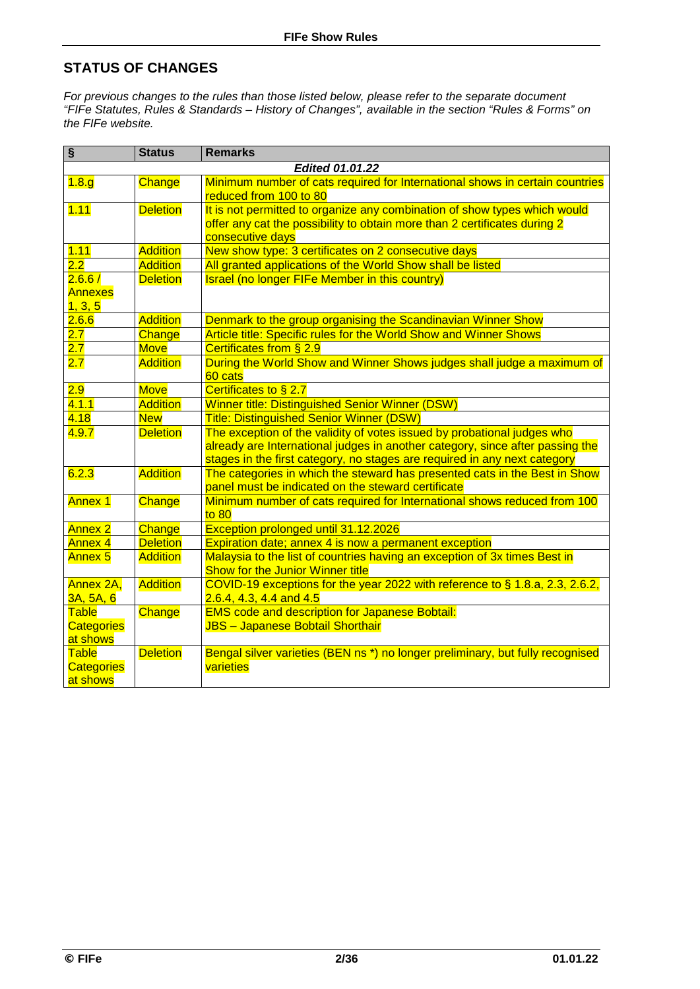### **STATUS OF CHANGES**

*For previous changes to the rules than those listed below, please refer to the separate document "FIFe Statutes, Rules & Standards – History of Changes", available in the section "Rules & Forms" on the FIFe website.* 

| $\overline{\mathbf{s}}$ | <b>Status</b>   | <b>Remarks</b>                                                                 |  |  |  |  |  |  |  |
|-------------------------|-----------------|--------------------------------------------------------------------------------|--|--|--|--|--|--|--|
|                         |                 | <b>Edited 01.01.22</b>                                                         |  |  |  |  |  |  |  |
| 1.8.g                   | Change          | Minimum number of cats required for International shows in certain countries   |  |  |  |  |  |  |  |
|                         |                 | reduced from 100 to 80                                                         |  |  |  |  |  |  |  |
| 1.11                    | <b>Deletion</b> | It is not permitted to organize any combination of show types which would      |  |  |  |  |  |  |  |
|                         |                 | offer any cat the possibility to obtain more than 2 certificates during 2      |  |  |  |  |  |  |  |
|                         |                 | consecutive days                                                               |  |  |  |  |  |  |  |
| 1.11                    | <b>Addition</b> | New show type: 3 certificates on 2 consecutive days                            |  |  |  |  |  |  |  |
| 2.2                     | <b>Addition</b> | All granted applications of the World Show shall be listed                     |  |  |  |  |  |  |  |
| 2.6.6 /                 | <b>Deletion</b> | Israel (no longer FIFe Member in this country)                                 |  |  |  |  |  |  |  |
| <b>Annexes</b>          |                 |                                                                                |  |  |  |  |  |  |  |
| 1, 3, 5                 |                 |                                                                                |  |  |  |  |  |  |  |
| 2.6.6                   | <b>Addition</b> | Denmark to the group organising the Scandinavian Winner Show                   |  |  |  |  |  |  |  |
| 2.7                     | Change          | Article title: Specific rules for the World Show and Winner Shows              |  |  |  |  |  |  |  |
| 2.7                     | <b>Move</b>     | Certificates from § 2.9                                                        |  |  |  |  |  |  |  |
| 2.7                     | <b>Addition</b> | During the World Show and Winner Shows judges shall judge a maximum of         |  |  |  |  |  |  |  |
|                         |                 | 60 cats                                                                        |  |  |  |  |  |  |  |
| 2.9                     | <b>Move</b>     | Certificates to § 2.7                                                          |  |  |  |  |  |  |  |
| 4.1.1                   | <b>Addition</b> | Winner title: Distinguished Senior Winner (DSW)                                |  |  |  |  |  |  |  |
| 4.18                    | <b>New</b>      | <b>Title: Distinguished Senior Winner (DSW)</b>                                |  |  |  |  |  |  |  |
| 4.9.7                   | <b>Deletion</b> | The exception of the validity of votes issued by probational judges who        |  |  |  |  |  |  |  |
|                         |                 | already are International judges in another category, since after passing the  |  |  |  |  |  |  |  |
|                         |                 | stages in the first category, no stages are required in any next category      |  |  |  |  |  |  |  |
| 6.2.3                   | <b>Addition</b> | The categories in which the steward has presented cats in the Best in Show     |  |  |  |  |  |  |  |
|                         |                 | panel must be indicated on the steward certificate                             |  |  |  |  |  |  |  |
| <b>Annex 1</b>          | Change          | Minimum number of cats required for International shows reduced from 100       |  |  |  |  |  |  |  |
|                         |                 | to 80                                                                          |  |  |  |  |  |  |  |
| <b>Annex 2</b>          | Change          | Exception prolonged until 31.12.2026                                           |  |  |  |  |  |  |  |
| Annex 4                 | <b>Deletion</b> | Expiration date; annex 4 is now a permanent exception                          |  |  |  |  |  |  |  |
| <b>Annex 5</b>          | Addition        | Malaysia to the list of countries having an exception of 3x times Best in      |  |  |  |  |  |  |  |
|                         |                 | <b>Show for the Junior Winner title</b>                                        |  |  |  |  |  |  |  |
| Annex 2A,               | <b>Addition</b> | COVID-19 exceptions for the year 2022 with reference to § 1.8.a, 2.3, 2.6.2,   |  |  |  |  |  |  |  |
| 3A, 5A, 6               |                 | $2.6.4, 4.3, 4.4$ and $4.5$                                                    |  |  |  |  |  |  |  |
| <b>Table</b>            | Change          | <b>EMS code and description for Japanese Bobtail:</b>                          |  |  |  |  |  |  |  |
| <b>Categories</b>       |                 | <b>JBS</b> - Japanese Bobtail Shorthair                                        |  |  |  |  |  |  |  |
| at shows                |                 |                                                                                |  |  |  |  |  |  |  |
| Table                   | <b>Deletion</b> | Bengal silver varieties (BEN ns *) no longer preliminary, but fully recognised |  |  |  |  |  |  |  |
| <b>Categories</b>       |                 | varieties                                                                      |  |  |  |  |  |  |  |
| at shows                |                 |                                                                                |  |  |  |  |  |  |  |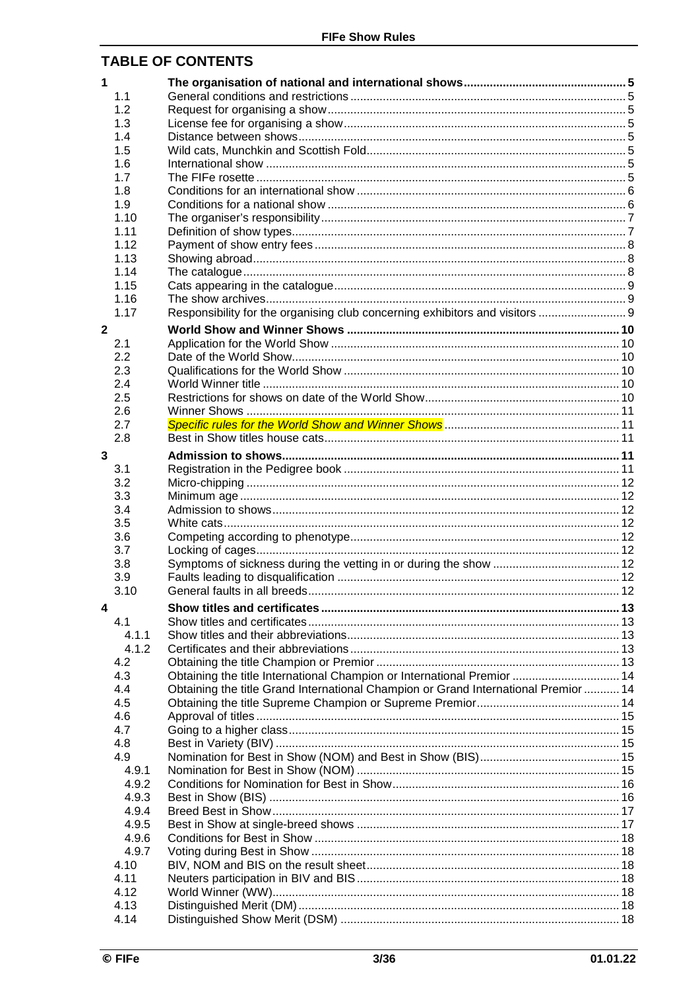## **TABLE OF CONTENTS**

| $\mathbf 1$  |       |                                                                                     |  |
|--------------|-------|-------------------------------------------------------------------------------------|--|
|              | 1.1   |                                                                                     |  |
|              | 1.2   |                                                                                     |  |
|              | 1.3   |                                                                                     |  |
|              | 1.4   |                                                                                     |  |
|              | 1.5   |                                                                                     |  |
|              | 1.6   |                                                                                     |  |
|              | 1.7   |                                                                                     |  |
|              | 1.8   |                                                                                     |  |
|              | 1.9   |                                                                                     |  |
|              | 1.10  |                                                                                     |  |
|              | 1.11  |                                                                                     |  |
|              | 1.12  |                                                                                     |  |
|              | 1.13  |                                                                                     |  |
|              | 1.14  |                                                                                     |  |
|              | 1.15  |                                                                                     |  |
|              | 1.16  |                                                                                     |  |
|              | 1.17  | Responsibility for the organising club concerning exhibitors and visitors  9        |  |
| $\mathbf{2}$ |       |                                                                                     |  |
|              | 2.1   |                                                                                     |  |
|              | 2.2   |                                                                                     |  |
|              | 2.3   |                                                                                     |  |
|              | 2.4   |                                                                                     |  |
|              | 2.5   |                                                                                     |  |
|              | 2.6   |                                                                                     |  |
|              | 2.7   |                                                                                     |  |
|              | 2.8   |                                                                                     |  |
| 3            |       |                                                                                     |  |
|              | 3.1   |                                                                                     |  |
|              | 3.2   |                                                                                     |  |
|              | 3.3   |                                                                                     |  |
|              | 3.4   |                                                                                     |  |
|              | 3.5   |                                                                                     |  |
|              | 3.6   |                                                                                     |  |
|              | 3.7   |                                                                                     |  |
|              | 3.8   |                                                                                     |  |
|              | 3.9   |                                                                                     |  |
|              | 3.10  |                                                                                     |  |
| 4            |       |                                                                                     |  |
|              | 4.1   |                                                                                     |  |
|              | 4.1.1 |                                                                                     |  |
|              | 4.1.2 |                                                                                     |  |
|              | 4.2   |                                                                                     |  |
|              | 4.3   | Obtaining the title International Champion or International Premior  14             |  |
|              | 4.4   | Obtaining the title Grand International Champion or Grand International Premior  14 |  |
|              | 4.5   |                                                                                     |  |
|              | 4.6   |                                                                                     |  |
|              | 4.7   |                                                                                     |  |
|              | 4.8   |                                                                                     |  |
|              | 4.9   |                                                                                     |  |
|              | 4.9.1 |                                                                                     |  |
|              | 4.9.2 |                                                                                     |  |
|              | 4.9.3 |                                                                                     |  |
|              | 4.9.4 |                                                                                     |  |
|              | 4.9.5 |                                                                                     |  |
|              | 4.9.6 |                                                                                     |  |
|              | 4.9.7 |                                                                                     |  |
|              | 4.10  |                                                                                     |  |
|              | 4.11  |                                                                                     |  |
|              | 4.12  |                                                                                     |  |
|              | 4.13  |                                                                                     |  |
|              | 4.14  |                                                                                     |  |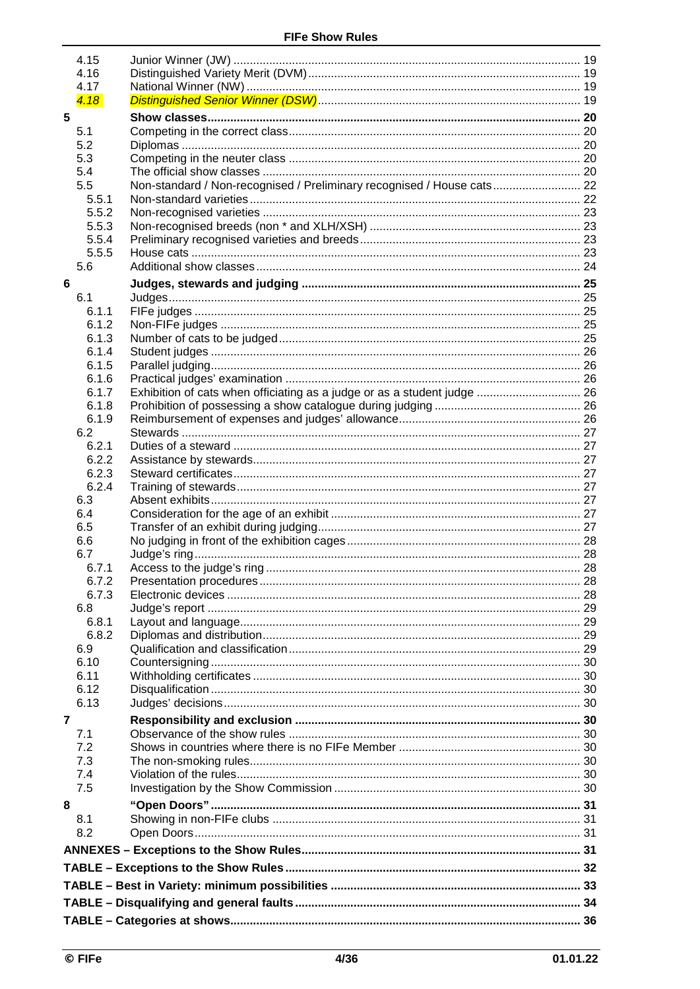|                | 4.15<br>4.16   |                                                                          |  |
|----------------|----------------|--------------------------------------------------------------------------|--|
|                | 4.17           |                                                                          |  |
|                | 4.18           |                                                                          |  |
| 5              |                |                                                                          |  |
|                | 5.1            |                                                                          |  |
|                | 5.2            |                                                                          |  |
|                | 5.3            |                                                                          |  |
|                | 5.4            |                                                                          |  |
|                | 5.5            | Non-standard / Non-recognised / Preliminary recognised / House cats 22   |  |
|                | 5.5.1          |                                                                          |  |
|                | 5.5.2          |                                                                          |  |
|                | 5.5.3          |                                                                          |  |
|                | 5.5.4          |                                                                          |  |
|                | 5.5.5          |                                                                          |  |
|                | 5.6            |                                                                          |  |
| 6              |                |                                                                          |  |
|                | 6.1            |                                                                          |  |
|                | 6.1.1          |                                                                          |  |
|                | 6.1.2          |                                                                          |  |
|                | 6.1.3          |                                                                          |  |
|                | 6.1.4          |                                                                          |  |
|                | 6.1.5          |                                                                          |  |
|                | 6.1.6          |                                                                          |  |
|                | 6.1.7          | Exhibition of cats when officiating as a judge or as a student judge  26 |  |
|                | 6.1.8          |                                                                          |  |
|                | 6.1.9          |                                                                          |  |
|                | 6.2            |                                                                          |  |
|                | 6.2.1<br>6.2.2 |                                                                          |  |
|                | 6.2.3          |                                                                          |  |
|                | 6.2.4          |                                                                          |  |
|                | 6.3            |                                                                          |  |
|                | 6.4            |                                                                          |  |
|                | 6.5            |                                                                          |  |
|                | 6.6            |                                                                          |  |
|                | 6.7            |                                                                          |  |
|                | 6.7.1          |                                                                          |  |
|                | 6.7.2          |                                                                          |  |
|                | 6.7.3          |                                                                          |  |
|                | 6.8            |                                                                          |  |
|                | 6.8.1          |                                                                          |  |
|                | 6.8.2          |                                                                          |  |
|                | 6.9            |                                                                          |  |
|                | 6.10           |                                                                          |  |
|                | 6.11           |                                                                          |  |
|                | 6.12           |                                                                          |  |
|                | 6.13           |                                                                          |  |
| $\overline{7}$ |                |                                                                          |  |
|                | 7.1            |                                                                          |  |
|                | 7.2            |                                                                          |  |
|                | 7.3            |                                                                          |  |
|                | 7.4<br>7.5     |                                                                          |  |
|                |                |                                                                          |  |
| 8              |                |                                                                          |  |
|                | 8.1            |                                                                          |  |
|                | 8.2            |                                                                          |  |
|                |                |                                                                          |  |
|                |                |                                                                          |  |
|                |                |                                                                          |  |
|                |                |                                                                          |  |
|                |                |                                                                          |  |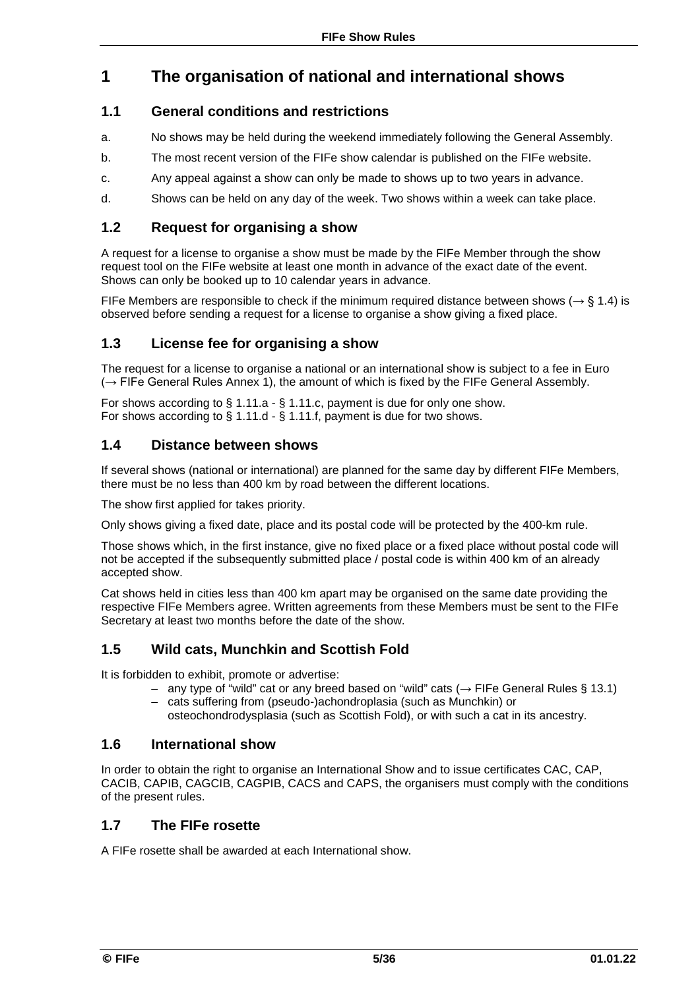## **1 The organisation of national and international shows**

### **1.1 General conditions and restrictions**

- a. No shows may be held during the weekend immediately following the General Assembly.
- b. The most recent version of the FIFe show calendar is published on the FIFe website.
- c. Any appeal against a show can only be made to shows up to two years in advance.
- d. Shows can be held on any day of the week. Two shows within a week can take place.

### **1.2 Request for organising a show**

A request for a license to organise a show must be made by the FIFe Member through the show request tool on the FIFe website at least one month in advance of the exact date of the event. Shows can only be booked up to 10 calendar years in advance.

FIFe Members are responsible to check if the minimum required distance between shows ( $\rightarrow$  § 1.4) is observed before sending a request for a license to organise a show giving a fixed place.

### **1.3 License fee for organising a show**

The request for a license to organise a national or an international show is subject to a fee in Euro  $(\rightarrow$  FIFe General Rules Annex 1), the amount of which is fixed by the FIFe General Assembly.

For shows according to § 1.11.a - § 1.11.c, payment is due for only one show. For shows according to § 1.11.d - § 1.11.f, payment is due for two shows.

### **1.4 Distance between shows**

If several shows (national or international) are planned for the same day by different FIFe Members, there must be no less than 400 km by road between the different locations.

The show first applied for takes priority.

Only shows giving a fixed date, place and its postal code will be protected by the 400-km rule.

Those shows which, in the first instance, give no fixed place or a fixed place without postal code will not be accepted if the subsequently submitted place / postal code is within 400 km of an already accepted show.

Cat shows held in cities less than 400 km apart may be organised on the same date providing the respective FIFe Members agree. Written agreements from these Members must be sent to the FIFe Secretary at least two months before the date of the show.

### **1.5 Wild cats, Munchkin and Scottish Fold**

It is forbidden to exhibit, promote or advertise:

- any type of "wild" cat or any breed based on "wild" cats (→ FIFe General Rules § 13.1) – cats suffering from (pseudo-)achondroplasia (such as Munchkin) or
- osteochondrodysplasia (such as Scottish Fold), or with such a cat in its ancestry.

### **1.6 International show**

In order to obtain the right to organise an International Show and to issue certificates CAC, CAP, CACIB, CAPIB, CAGCIB, CAGPIB, CACS and CAPS, the organisers must comply with the conditions of the present rules.

### **1.7 The FIFe rosette**

A FIFe rosette shall be awarded at each International show.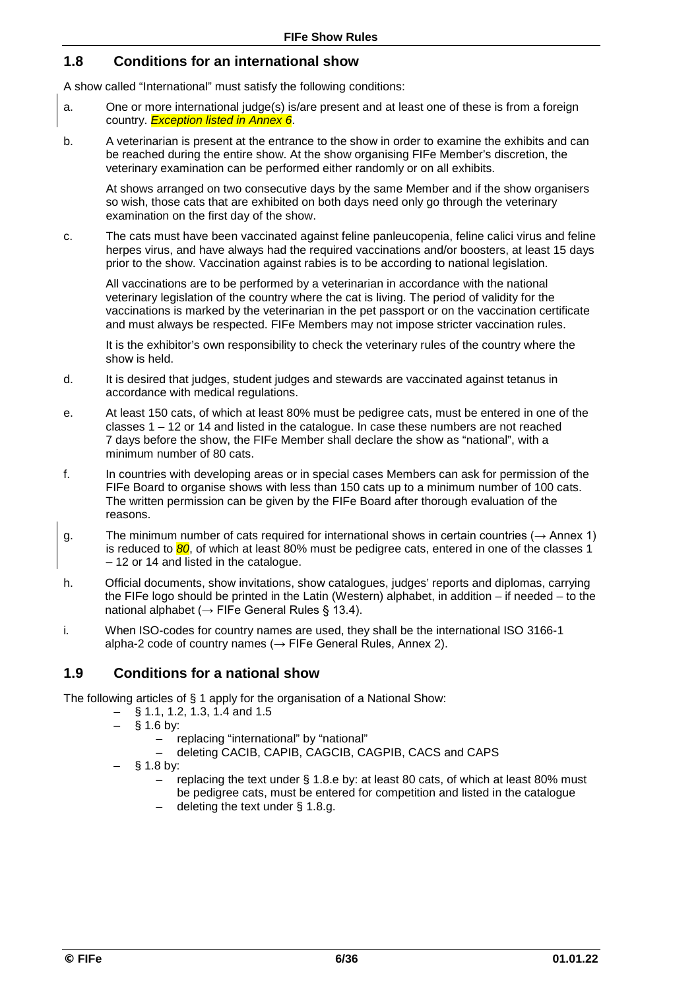### **1.8 Conditions for an international show**

A show called "International" must satisfy the following conditions:

- a. One or more international judge(s) is/are present and at least one of these is from a foreign country. *Exception listed in Annex 6*.
- b. A veterinarian is present at the entrance to the show in order to examine the exhibits and can be reached during the entire show. At the show organising FIFe Member's discretion, the veterinary examination can be performed either randomly or on all exhibits.

At shows arranged on two consecutive days by the same Member and if the show organisers so wish, those cats that are exhibited on both days need only go through the veterinary examination on the first day of the show.

c. The cats must have been vaccinated against feline panleucopenia, feline calici virus and feline herpes virus, and have always had the required vaccinations and/or boosters, at least 15 days prior to the show. Vaccination against rabies is to be according to national legislation.

All vaccinations are to be performed by a veterinarian in accordance with the national veterinary legislation of the country where the cat is living. The period of validity for the vaccinations is marked by the veterinarian in the pet passport or on the vaccination certificate and must always be respected. FIFe Members may not impose stricter vaccination rules.

It is the exhibitor's own responsibility to check the veterinary rules of the country where the show is held.

- d. It is desired that judges, student judges and stewards are vaccinated against tetanus in accordance with medical regulations.
- e. At least 150 cats, of which at least 80% must be pedigree cats, must be entered in one of the classes  $1 - 12$  or 14 and listed in the catalogue. In case these numbers are not reached 7 days before the show, the FIFe Member shall declare the show as "national", with a minimum number of 80 cats.
- f. In countries with developing areas or in special cases Members can ask for permission of the FIFe Board to organise shows with less than 150 cats up to a minimum number of 100 cats. The written permission can be given by the FIFe Board after thorough evaluation of the reasons.
- g. The minimum number of cats required for international shows in certain countries ( $\rightarrow$  Annex 1) is reduced to 80, of which at least 80% must be pedigree cats, entered in one of the classes 1 – 12 or 14 and listed in the catalogue.
- h. Official documents, show invitations, show catalogues, judges' reports and diplomas, carrying the FIFe logo should be printed in the Latin (Western) alphabet, in addition – if needed – to the national alphabet ( $\rightarrow$  FIFe General Rules § 13.4).
- i*.* When ISO-codes for country names are used, they shall be the international ISO 3166-1 alpha-2 code of country names ( $\rightarrow$  FIFe General Rules, Annex 2).

### **1.9 Conditions for a national show**

The following articles of § 1 apply for the organisation of a National Show:

- § 1.1, 1.2, 1.3, 1.4 and 1.5
	- $§ 1.6$  by:
		- replacing "international" by "national"
		- deleting CACIB, CAPIB, CAGCIB, CAGPIB, CACS and CAPS
	- § 1.8 by:
		- replacing the text under § 1.8.e by: at least 80 cats, of which at least 80% must be pedigree cats, must be entered for competition and listed in the catalogue
		- deleting the text under § 1.8.g.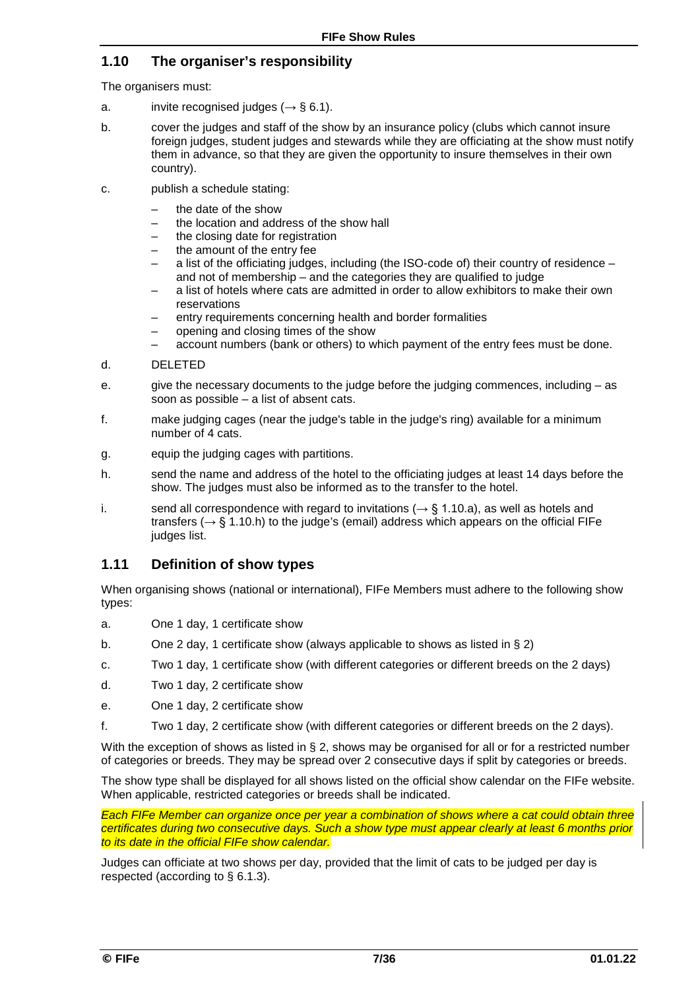### **1.10 The organiser's responsibility**

The organisers must:

- a. invite recognised judges (*→* § 6.1).
- b. cover the judges and staff of the show by an insurance policy (clubs which cannot insure foreign judges, student judges and stewards while they are officiating at the show must notify them in advance, so that they are given the opportunity to insure themselves in their own country).
- c. publish a schedule stating:
	- the date of the show
	- the location and address of the show hall
	- the closing date for registration
	- the amount of the entry fee
	- a list of the officiating judges, including (the ISO-code of) their country of residence and not of membership *–* and the categories they are qualified to judge
	- a list of hotels where cats are admitted in order to allow exhibitors to make their own reservations
	- entry requirements concerning health and border formalities
	- opening and closing times of the show
	- account numbers (bank or others) to which payment of the entry fees must be done.
- d. DELETED
- e. give the necessary documents to the judge before the judging commences, including as soon as possible – a list of absent cats.
- f. make judging cages (near the judge's table in the judge's ring) available for a minimum number of 4 cats.
- g. equip the judging cages with partitions.
- h. send the name and address of the hotel to the officiating judges at least 14 days before the show. The judges must also be informed as to the transfer to the hotel.
- i. send all correspondence with regard to invitations ( $\rightarrow$  § 1.10.a), as well as hotels and transfers ( $\rightarrow$  § 1.10.h) to the judge's (email) address which appears on the official FIFe judges list.

### **1.11 Definition of show types**

When organising shows (national or international), FIFe Members must adhere to the following show types:

- a. One 1 day, 1 certificate show
- b. One 2 day, 1 certificate show (always applicable to shows as listed in § 2)
- c. Two 1 day, 1 certificate show (with different categories or different breeds on the 2 days)
- d. Two 1 day, 2 certificate show
- e. One 1 day, 2 certificate show
- f. Two 1 day, 2 certificate show (with different categories or different breeds on the 2 days).

With the exception of shows as listed in § 2, shows may be organised for all or for a restricted number of categories or breeds. They may be spread over 2 consecutive days if split by categories or breeds.

The show type shall be displayed for all shows listed on the official show calendar on the FIFe website. When applicable, restricted categories or breeds shall be indicated.

*Each FIFe Member can organize once per year a combination of shows where a cat could obtain three certificates during two consecutive days. Such a show type must appear clearly at least 6 months prior to its date in the official FIFe show calendar.*

Judges can officiate at two show*s* per day, provided that the limit of cats to be judged per day is respected (according to § 6.1.3).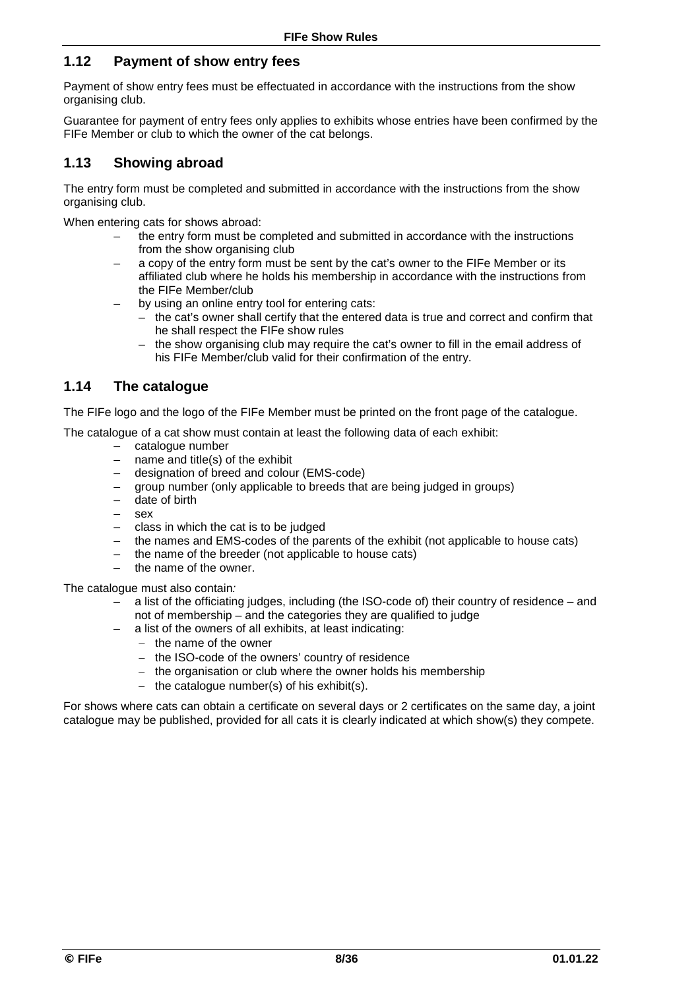### **1.12 Payment of show entry fees**

Payment of show entry fees must be effectuated in accordance with the instructions from the show organising club.

Guarantee for payment of entry fees only applies to exhibits whose entries have been confirmed by the FIFe Member or club to which the owner of the cat belongs.

### **1.13 Showing abroad**

The entry form must be completed and submitted in accordance with the instructions from the show organising club.

When entering cats for shows abroad:

- the entry form must be completed and submitted in accordance with the instructions from the show organising club
- a copy of the entry form must be sent by the cat's owner to the FIFe Member or its affiliated club where he holds his membership in accordance with the instructions from the FIFe Member/club
- by using an online entry tool for entering cats:
	- the cat's owner shall certify that the entered data is true and correct and confirm that he shall respect the FIFe show rules
	- the show organising club may require the cat's owner to fill in the email address of his FIFe Member/club valid for their confirmation of the entry.

### **1.14 The catalogue**

The FIFe logo and the logo of the FIFe Member must be printed on the front page of the catalogue.

The catalogue of a cat show must contain at least the following data of each exhibit:

- $-$  catalogue number<br> $-$  name and title(s) c
- name and title(s) of the exhibit
- designation of breed and colour (EMS-code)
- group number (only applicable to breeds that are being judged in groups)
- date of birth
- sex
- class in which the cat is to be judged
- the names and EMS-codes of the parents of the exhibit (not applicable to house cats)
- the name of the breeder (not applicable to house cats)
- the name of the owner.

The catalogue must also contain*:* 

- a list of the officiating judges, including (the ISO-code of) their country of residence and not of membership – and the categories they are qualified to judge
- a list of the owners of all exhibits, at least indicating:
	- − the name of the owner
	- − the ISO-code of the owners' country of residence
	- − the organisation or club where the owner holds his membership
	- − the catalogue number(s) of his exhibit(s).

For shows where cats can obtain a certificate on several days or 2 certificates on the same day, a joint catalogue may be published, provided for all cats it is clearly indicated at which show(s) they compete.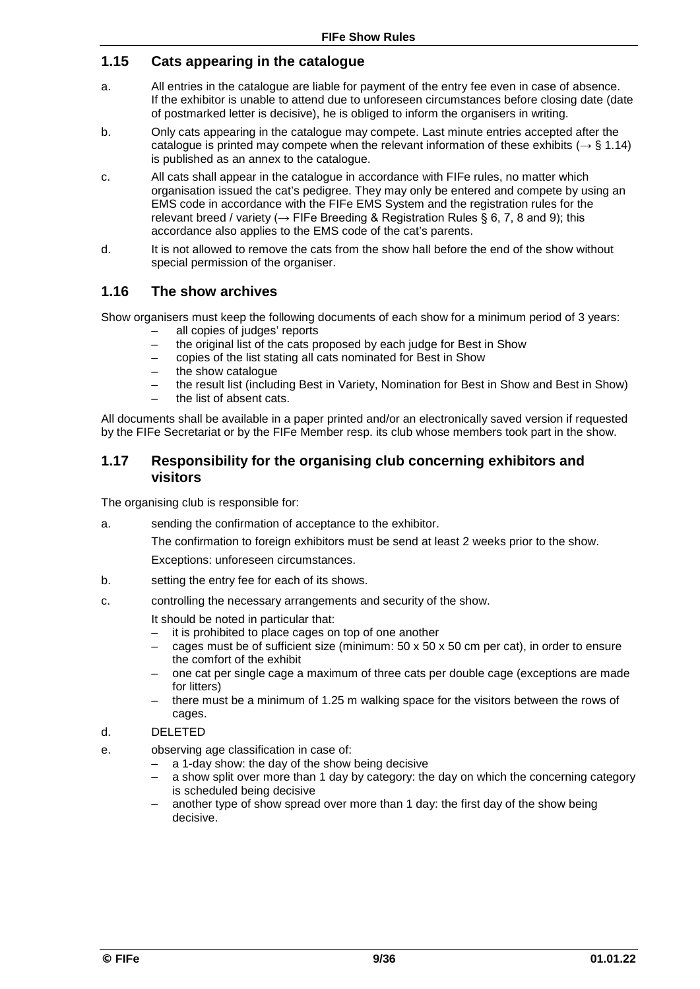### **1.15 Cats appearing in the catalogue**

- a. All entries in the catalogue are liable for payment of the entry fee even in case of absence. If the exhibitor is unable to attend due to unforeseen circumstances before closing date (date of postmarked letter is decisive), he is obliged to inform the organisers in writing.
- b. Only cats appearing in the catalogue may compete. Last minute entries accepted after the catalogue is printed may compete when the relevant information of these exhibits ( $\rightarrow$  § 1.14) is published as an annex to the catalogue.
- c. All cats shall appear in the catalogue in accordance with FIFe rules, no matter which organisation issued the cat's pedigree. They may only be entered and compete by using an EMS code in accordance with the FIFe EMS System and the registration rules for the relevant breed / variety ( $\rightarrow$  FIFe Breeding & Registration Rules § 6, 7, 8 and 9); this accordance also applies to the EMS code of the cat's parents.
- d. It is not allowed to remove the cats from the show hall before the end of the show without special permission of the organiser.

### **1.16 The show archives**

Show organisers must keep the following documents of each show for a minimum period of 3 years:

- all copies of judges' reports
- the original list of the cats proposed by each judge for Best in Show
- copies of the list stating all cats nominated for Best in Show
- the show catalogue
- the result list (including Best in Variety, Nomination for Best in Show and Best in Show)
- the list of absent cats.

All documents shall be available in a paper printed and/or an electronically saved version if requested by the FIFe Secretariat or by the FIFe Member resp. its club whose members took part in the show.

### **1.17 Responsibility for the organising club concerning exhibitors and visitors**

The organising club is responsible for:

a. sending the confirmation of acceptance to the exhibitor.

The confirmation to foreign exhibitors must be send at least 2 weeks prior to the show. Exceptions: unforeseen circumstances.

- b. setting the entry fee for each of its shows.
- c. controlling the necessary arrangements and security of the show.
	- It should be noted in particular that:
	- it is prohibited to place cages on top of one another
	- cages must be of sufficient size (minimum:  $50 \times 50 \times 50$  cm per cat), in order to ensure the comfort of the exhibit
	- one cat per single cage a maximum of three cats per double cage (exceptions are made for litters)
	- there must be a minimum of 1.25 m walking space for the visitors between the rows of cages.
- d. DELETED
- e. observing age classification in case of:
	- a 1-day show: the day of the show being decisive
	- a show split over more than 1 day by category: the day on which the concerning category is scheduled being decisive
	- another type of show spread over more than 1 day: the first day of the show being decisive.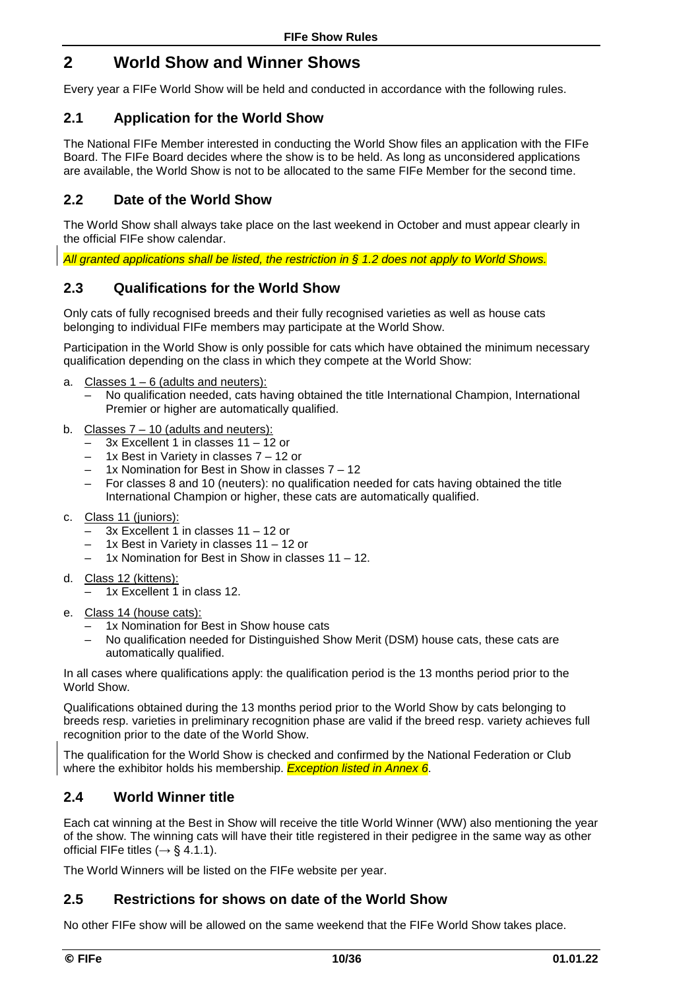## **2 World Show and Winner Shows**

Every year a FIFe World Show will be held and conducted in accordance with the following rules.

### **2.1 Application for the World Show**

The National FIFe Member interested in conducting the World Show files an application with the FIFe Board. The FIFe Board decides where the show is to be held. As long as unconsidered applications are available, the World Show is not to be allocated to the same FIFe Member for the second time.

### **2.2 Date of the World Show**

The World Show shall always take place on the last weekend in October and must appear clearly in the official FIFe show calendar.

*All granted applications shall be listed, the restriction in § 1.2 does not apply to World Shows.*

### **2.3 Qualifications for the World Show**

Only cats of fully recognised breeds and their fully recognised varieties as well as house cats belonging to individual FIFe members may participate at the World Show.

Participation in the World Show is only possible for cats which have obtained the minimum necessary qualification depending on the class in which they compete at the World Show:

- a. Classes  $1 6$  (adults and neuters):
	- No qualification needed, cats having obtained the title International Champion, International Premier or higher are automatically qualified.
- b. Classes  $7 10$  (adults and neuters):
	- 3x Excellent 1 in classes 11 12 or
	- 1x Best in Variety in classes 7 12 or
	- 1x Nomination for Best in Show in classes 7 12
	- For classes 8 and 10 (neuters): no qualification needed for cats having obtained the title International Champion or higher, these cats are automatically qualified.
- c. Class 11 (juniors):
	- 3x Excellent 1 in classes 11 12 or
	- 1x Best in Variety in classes 11 12 or
	- 1x Nomination for Best in Show in classes 11 12.
- d. Class 12 (kittens):
	- 1x Excellent 1 in class 12.
- e. Class 14 (house cats):
	- 1x Nomination for Best in Show house cats
	- No qualification needed for Distinguished Show Merit (DSM) house cats, these cats are automatically qualified.

In all cases where qualifications apply: the qualification period is the 13 months period prior to the World Show.

Qualifications obtained during the 13 months period prior to the World Show by cats belonging to breeds resp. varieties in preliminary recognition phase are valid if the breed resp. variety achieves full recognition prior to the date of the World Show.

The qualification for the World Show is checked and confirmed by the National Federation or Club where the exhibitor holds his membership. *Exception listed in Annex 6*.

### **2.4 World Winner title**

Each cat winning at the Best in Show will receive the title World Winner (WW) also mentioning the year of the show. The winning cats will have their title registered in their pedigree in the same way as other official FIFe titles ( $\rightarrow$  § 4.1.1).

The World Winners will be listed on the FIFe website per year.

### **2.5 Restrictions for shows on date of the World Show**

No other FIFe show will be allowed on the same weekend that the FIFe World Show takes place.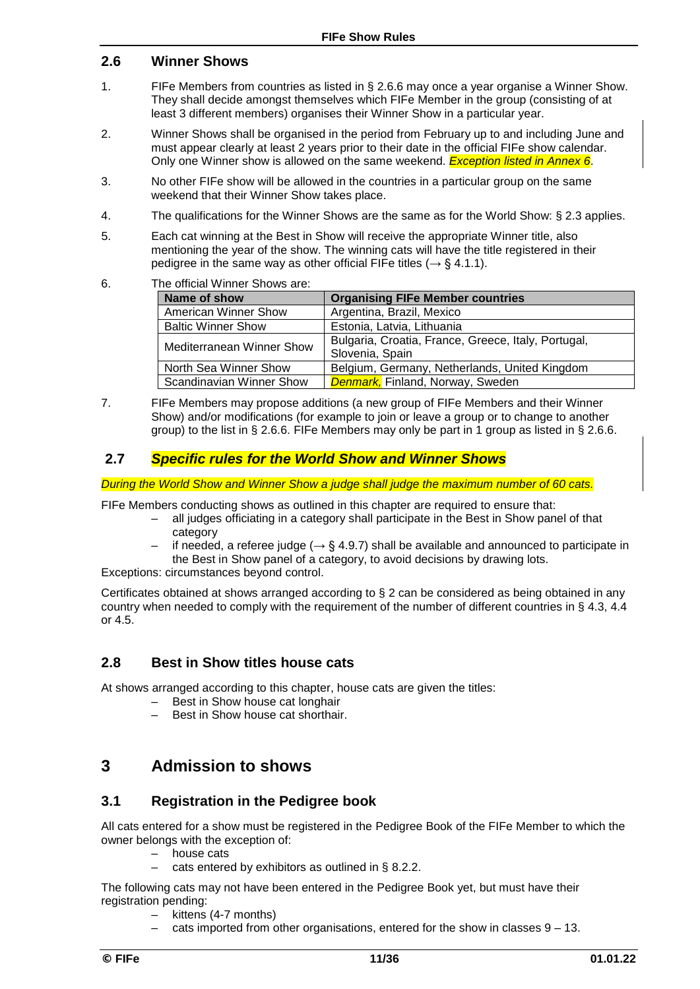### **2.6 Winner Shows**

- 1. FIFe Members from countries as listed in § 2.6.6 may once a year organise a Winner Show. They shall decide amongst themselves which FIFe Member in the group (consisting of at least 3 different members) organises their Winner Show in a particular year.
- 2. Winner Shows shall be organised in the period from February up to and including June and must appear clearly at least 2 years prior to their date in the official FIFe show calendar. Only one Winner show is allowed on the same weekend. *Exception listed in Annex 6*.
- 3. No other FIFe show will be allowed in the countries in a particular group on the same weekend that their Winner Show takes place.
- 4. The qualifications for the Winner Shows are the same as for the World Show: § 2.3 applies.
- 5. Each cat winning at the Best in Show will receive the appropriate Winner title, also mentioning the year of the show. The winning cats will have the title registered in their pedigree in the same way as other official FIFe titles ( $\rightarrow$  § 4.1.1).
- 6. The official Winner Shows are:

| Name of show                     | <b>Organising FIFe Member countries</b>             |
|----------------------------------|-----------------------------------------------------|
| <b>American Winner Show</b>      | Argentina, Brazil, Mexico                           |
| <b>Baltic Winner Show</b>        | Estonia, Latvia, Lithuania                          |
| <b>Mediterranean Winner Show</b> | Bulgaria, Croatia, France, Greece, Italy, Portugal, |
|                                  | Slovenia, Spain                                     |
| North Sea Winner Show            | Belgium, Germany, Netherlands, United Kingdom       |
| Scandinavian Winner Show         | <b>Denmark,</b> Finland, Norway, Sweden             |

7. FIFe Members may propose additions (a new group of FIFe Members and their Winner Show) and/or modifications (for example to join or leave a group or to change to another group) to the list in § 2.6.6. FIFe Members may only be part in 1 group as listed in § 2.6.6.

### **2.7** *Specific rules for the World Show and Winner Shows*

*During the World Show and Winner Show a judge shall judge the maximum number of 60 cats.*

FIFe Members conducting shows as outlined in this chapter are required to ensure that:

- all judges officiating in a category shall participate in the Best in Show panel of that category
- if needed, a referee judge ( $\rightarrow$  § 4.9.7) shall be available and announced to participate in the Best in Show panel of a category, to avoid decisions by drawing lots.

Exceptions: circumstances beyond control.

Certificates obtained at shows arranged according to § 2 can be considered as being obtained in any country when needed to comply with the requirement of the number of different countries in § 4.3, 4.4 or 4.5.

### **2.8 Best in Show titles house cats**

At shows arranged according to this chapter, house cats are given the titles:

- Best in Show house cat longhair
- Best in Show house cat shorthair.

### **3 Admission to shows**

#### **3.1 Registration in the Pedigree book**

All cats entered for a show must be registered in the Pedigree Book of the FIFe Member to which the owner belongs with the exception of:

- house cats
- cats entered by exhibitors as outlined in  $\S$  8.2.2.

The following cats may not have been entered in the Pedigree Book yet, but must have their registration pending:

- kittens (4-7 months)
- cats imported from other organisations, entered for the show in classes  $9 13$ .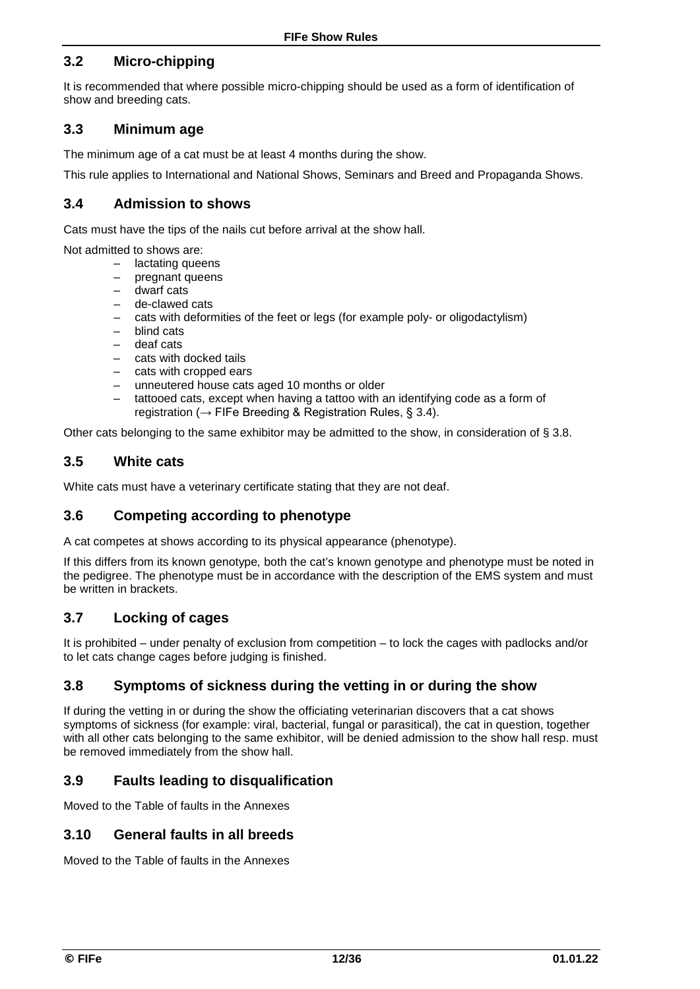### **3.2 Micro-chipping**

It is recommended that where possible micro-chipping should be used as a form of identification of show and breeding cats.

### **3.3 Minimum age**

The minimum age of a cat must be at least 4 months during the show.

This rule applies to International and National Shows, Seminars and Breed and Propaganda Shows.

### **3.4 Admission to shows**

Cats must have the tips of the nails cut before arrival at the show hall.

Not admitted to shows are:

- lactating queens
- pregnant queens
- dwarf cats
- de-clawed cats
- cats with deformities of the feet or legs (for example poly- or oligodactylism)
- blind cats
- deaf cats
- cats with docked tails
- cats with cropped ears
- unneutered house cats aged 10 months or older
- tattooed cats, except when having a tattoo with an identifying code as a form of registration ( $\rightarrow$  FIFe Breeding & Registration Rules, § 3.4).

Other cats belonging to the same exhibitor may be admitted to the show, in consideration of § 3.8.

### **3.5 White cats**

White cats must have a veterinary certificate stating that they are not deaf.

### **3.6 Competing according to phenotype**

A cat competes at shows according to its physical appearance (phenotype).

If this differs from its known genotype*,* both the cat's known genotype and phenotype must be noted in the pedigree. The phenotype must be in accordance with the description of the EMS system and must be written in brackets.

### **3.7 Locking of cages**

It is prohibited – under penalty of exclusion from competition – to lock the cages with padlocks and/or to let cats change cages before judging is finished.

### **3.8 Symptoms of sickness during the vetting in or during the show**

If during the vetting in or during the show the officiating veterinarian discovers that a cat shows symptoms of sickness (for example: viral, bacterial, fungal or parasitical), the cat in question, together with all other cats belonging to the same exhibitor, will be denied admission to the show hall resp. must be removed immediately from the show hall.

### **3.9 Faults leading to disqualification**

Moved to the Table of faults in the Annexes

#### **3.10 General faults in all breeds**

Moved to the Table of faults in the Annexes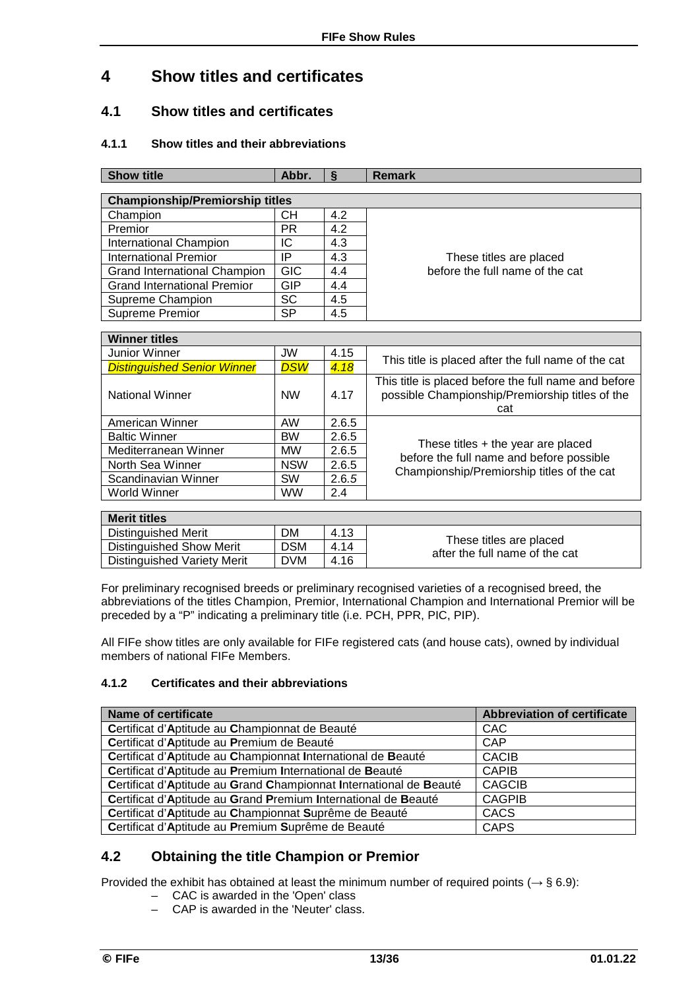## **4 Show titles and certificates**

### **4.1 Show titles and certificates**

#### **4.1.1 Show titles and their abbreviations**

| <b>Show title</b><br>Abbr.<br>$\S$<br><b>Remark</b> |            |       |                                                                                                                |  |  |  |
|-----------------------------------------------------|------------|-------|----------------------------------------------------------------------------------------------------------------|--|--|--|
|                                                     |            |       |                                                                                                                |  |  |  |
| <b>Championship/Premiorship titles</b>              |            |       |                                                                                                                |  |  |  |
| Champion                                            | CН         | 4.2   |                                                                                                                |  |  |  |
| Premior                                             | <b>PR</b>  | 4.2   |                                                                                                                |  |  |  |
| <b>International Champion</b>                       | IC         | 4.3   |                                                                                                                |  |  |  |
| <b>International Premior</b>                        | IP         | 4.3   | These titles are placed                                                                                        |  |  |  |
| Grand International Champion                        | <b>GIC</b> | 4.4   | before the full name of the cat                                                                                |  |  |  |
| <b>Grand International Premior</b>                  | <b>GIP</b> | 4.4   |                                                                                                                |  |  |  |
| Supreme Champion                                    | <b>SC</b>  | 4.5   |                                                                                                                |  |  |  |
| Supreme Premior                                     | <b>SP</b>  | 4.5   |                                                                                                                |  |  |  |
| <b>Winner titles</b>                                |            |       |                                                                                                                |  |  |  |
| <b>Junior Winner</b>                                | <b>JW</b>  | 4.15  |                                                                                                                |  |  |  |
| <b>Distinguished Senior Winner</b>                  | <b>DSW</b> | 4.18  | This title is placed after the full name of the cat                                                            |  |  |  |
| <b>National Winner</b>                              | <b>NW</b>  | 4.17  | This title is placed before the full name and before<br>possible Championship/Premiorship titles of the<br>cat |  |  |  |
| American Winner                                     | <b>AW</b>  | 2.6.5 |                                                                                                                |  |  |  |
| <b>Baltic Winner</b>                                | <b>BW</b>  | 2.6.5 |                                                                                                                |  |  |  |
| Mediterranean Winner                                | <b>MW</b>  | 2.6.5 | These titles + the year are placed                                                                             |  |  |  |
| North Sea Winner                                    | <b>NSW</b> | 2.6.5 | before the full name and before possible                                                                       |  |  |  |
| Scandinavian Winner                                 | SW         | 2.6.5 | Championship/Premiorship titles of the cat                                                                     |  |  |  |
| <b>World Winner</b>                                 | <b>WW</b>  | 2.4   |                                                                                                                |  |  |  |
| <b>Merit titles</b>                                 |            |       |                                                                                                                |  |  |  |
|                                                     | <b>DM</b>  | 4.13  |                                                                                                                |  |  |  |
| <b>Distinguished Merit</b>                          |            |       | These titles are placed                                                                                        |  |  |  |
| <b>Distinguished Show Merit</b>                     | <b>DSM</b> | 4.14  | after the full name of the cat                                                                                 |  |  |  |
| <b>Distinguished Variety Merit</b>                  | <b>DVM</b> | 4.16  |                                                                                                                |  |  |  |

For preliminary recognised breeds or preliminary recognised varieties of a recognised breed, the abbreviations of the titles Champion, Premior, International Champion and International Premior will be preceded by a "P" indicating a preliminary title (i.e. PCH, PPR, PIC, PIP).

All FIFe show titles are only available for FIFe registered cats (and house cats), owned by individual members of national FIFe Members.

#### **4.1.2 Certificates and their abbreviations**

| <b>Name of certificate</b>                                         | <b>Abbreviation of certificate</b> |
|--------------------------------------------------------------------|------------------------------------|
| Certificat d'Aptitude au Championnat de Beauté                     | <b>CAC</b>                         |
| Certificat d'Aptitude au Premium de Beauté                         | CAP                                |
| Certificat d'Aptitude au Championnat International de Beauté       | <b>CACIB</b>                       |
| Certificat d'Aptitude au Premium International de Beauté           | <b>CAPIB</b>                       |
| Certificat d'Aptitude au Grand Championnat International de Beauté | <b>CAGCIB</b>                      |
| Certificat d'Aptitude au Grand Premium International de Beauté     | <b>CAGPIB</b>                      |
| Certificat d'Aptitude au Championnat Suprême de Beauté             | CACS                               |
| Certificat d'Aptitude au Premium Suprême de Beauté                 | <b>CAPS</b>                        |

### **4.2 Obtaining the title Champion or Premior**

Provided the exhibit has obtained at least the minimum number of required points (*→* § 6.9):

- CAC is awarded in the 'Open' class
- CAP is awarded in the 'Neuter' class.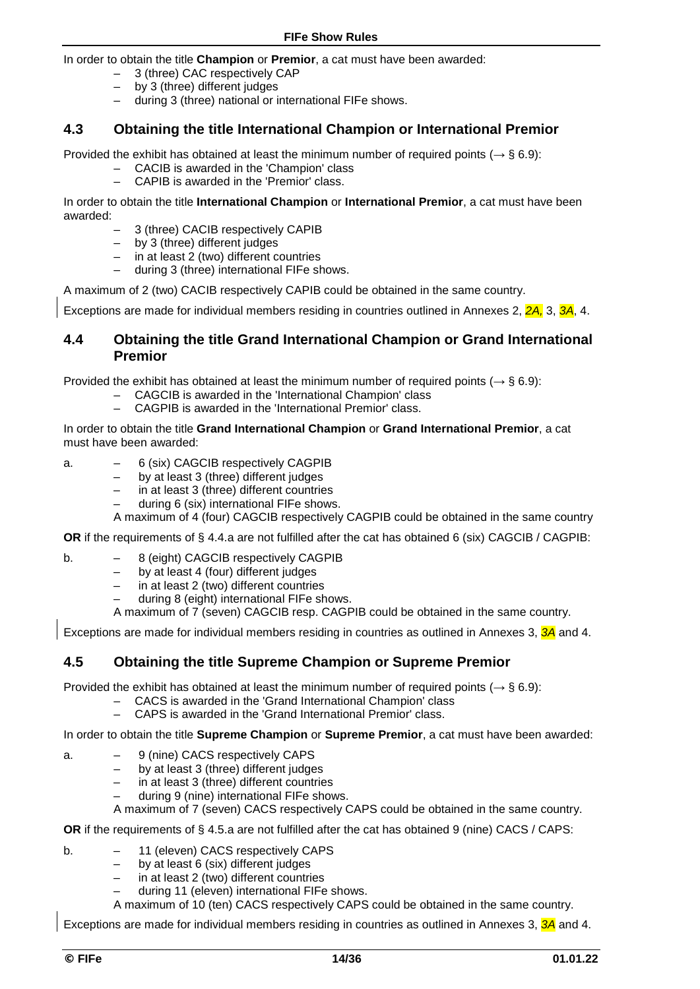In order to obtain the title **Champion** or **Premior**, a cat must have been awarded:

- 3 (three) CAC respectively CAP
- by 3 (three) different judges<br>– during 3 (three) national or i
- during 3 (three) national or international FIFe shows.

### **4.3 Obtaining the title International Champion or International Premior**

Provided the exhibit has obtained at least the minimum number of required points (*→* § 6.9):

- CACIB is awarded in the 'Champion' class
- CAPIB is awarded in the 'Premior' class.

In order to obtain the title **International Champion** or **International Premior**, a cat must have been awarded:

- 3 (three) CACIB respectively CAPIB
- by 3 (three) different judges
- in at least 2 (two) different countries
- during 3 (three) international FIFe shows.

A maximum of 2 (two) CACIB respectively CAPIB could be obtained in the same country.

Exceptions are made for individual members residing in countries outlined in Annexes 2, *2A,* 3, *3A*, 4.

### **4.4 Obtaining the title Grand International Champion or Grand International Premior**

Provided the exhibit has obtained at least the minimum number of required points (*→* § 6.9):

- CAGCIB is awarded in the 'International Champion' class
- CAGPIB is awarded in the 'International Premior' class.

In order to obtain the title **Grand International Champion** or **Grand International Premior**, a cat must have been awarded:

- a. 6 (six) CAGCIB respectively CAGPIB
	- by at least 3 (three) different judges
	- in at least 3 (three) different countries
	- during 6 (six) international FIFe shows.

A maximum of 4 (four) CAGCIB respectively CAGPIB could be obtained in the same country

**OR** if the requirements of § 4.4.a are not fulfilled after the cat has obtained 6 (six) CAGCIB / CAGPIB:

- b.  $-$  8 (eight) CAGCIB respectively CAGPIB<br> $-$  by at least 4 (four) different judges
	- $-$  by at least 4 (four) different judges<br> $-$  in at least 2 (two) different countries
	- in at least 2 (two) different countries
	- during 8 (eight) international FIFe shows.
	- A maximum of 7 (seven) CAGCIB resp. CAGPIB could be obtained in the same country.

Exceptions are made for individual members residing in countries as outlined in Annexes 3, *3A* and 4.

#### **4.5 Obtaining the title Supreme Champion or Supreme Premior**

Provided the exhibit has obtained at least the minimum number of required points (*→* § 6.9):

- CACS is awarded in the 'Grand International Champion' class
- CAPS is awarded in the 'Grand International Premior' class.

In order to obtain the title **Supreme Champion** or **Supreme Premior**, a cat must have been awarded:

- a. 9 (nine) CACS respectively CAPS
	- by at least 3 (three) different judges
	- in at least 3 (three) different countries
	- during 9 (nine) international FIFe shows.

A maximum of 7 (seven) CACS respectively CAPS could be obtained in the same country.

**OR** if the requirements of § 4.5.a are not fulfilled after the cat has obtained 9 (nine) CACS / CAPS:

- b. 11 (eleven) CACS respectively CAPS
	- by at least 6 (six) different judges
	- in at least 2 (two) different countries
	- during 11 (eleven) international FIFe shows.
	- A maximum of 10 (ten) CACS respectively CAPS could be obtained in the same country.

Exceptions are made for individual members residing in countries as outlined in Annexes 3, *3A* and 4.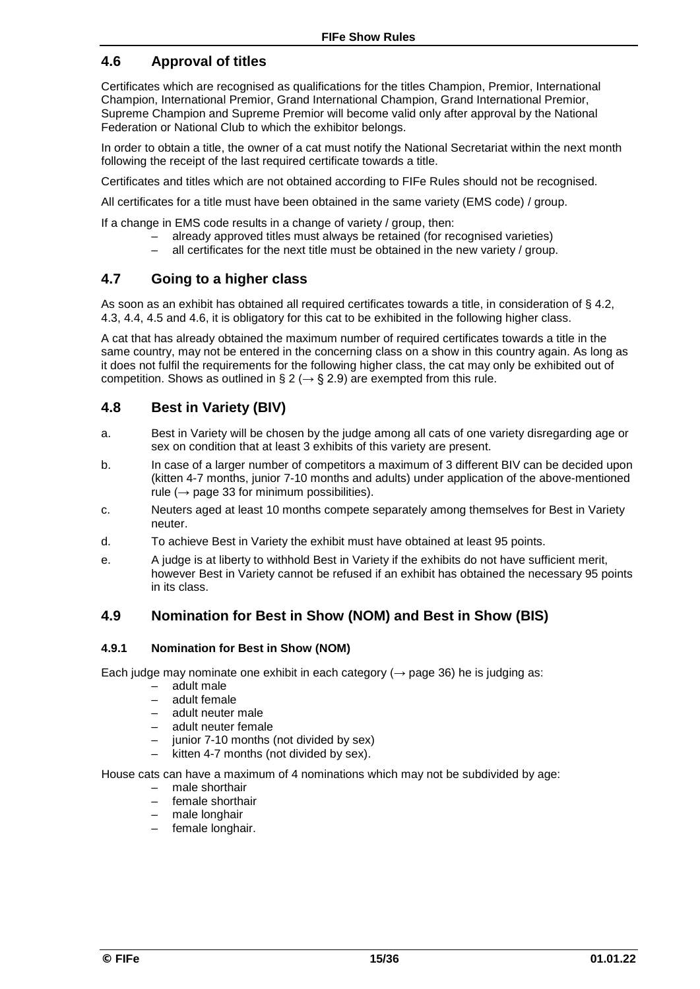### **4.6 Approval of titles**

Certificates which are recognised as qualifications for the titles Champion, Premior, International Champion, International Premior, Grand International Champion, Grand International Premior, Supreme Champion and Supreme Premior will become valid only after approval by the National Federation or National Club to which the exhibitor belongs.

In order to obtain a title, the owner of a cat must notify the National Secretariat within the next month following the receipt of the last required certificate towards a title.

Certificates and titles which are not obtained according to FIFe Rules should not be recognised.

All certificates for a title must have been obtained in the same variety (EMS code) / group.

If a change in EMS code results in a change of variety / group, then:

- already approved titles must always be retained (for recognised varieties)
- all certificates for the next title must be obtained in the new variety / group.

### **4.7 Going to a higher class**

As soon as an exhibit has obtained all required certificates towards a title, in consideration of § 4.2, 4.3, 4.4, 4.5 and 4.6, it is obligatory for this cat to be exhibited in the following higher class.

A cat that has already obtained the maximum number of required certificates towards a title in the same country, may not be entered in the concerning class on a show in this country again. As long as it does not fulfil the requirements for the following higher class, the cat may only be exhibited out of competition. Shows as outlined in § 2 ( $\rightarrow$  § 2.9) are exempted from this rule.

### **4.8 Best in Variety (BIV)**

- a. Best in Variety will be chosen by the judge among all cats of one variety disregarding age or sex on condition that at least 3 exhibits of this variety are present.
- b. In case of a larger number of competitors a maximum of 3 different BIV can be decided upon (kitten 4-7 months, junior 7-10 months and adults) under application of the above-mentioned rule ( $\rightarrow$  page 33 for minimum possibilities).
- c. Neuters aged at least 10 months compete separately among themselves for Best in Variety neuter.
- d. To achieve Best in Variety the exhibit must have obtained at least 95 points.
- e. A judge is at liberty to withhold Best in Variety if the exhibits do not have sufficient merit, however Best in Variety cannot be refused if an exhibit has obtained the necessary 95 points in its class.

#### **4.9 Nomination for Best in Show (NOM) and Best in Show (BIS)**

#### **4.9.1 Nomination for Best in Show (NOM)**

Each judge may nominate one exhibit in each category ( $\rightarrow$  page 36) he is judging as:

- adult male
- adult female
- adult neuter male
- adult neuter female
- junior 7-10 months (not divided by sex)
- kitten 4-7 months (not divided by sex).

House cats can have a maximum of 4 nominations which may not be subdivided by age:

- male shorthair
- female shorthair
- male longhair
- female longhair.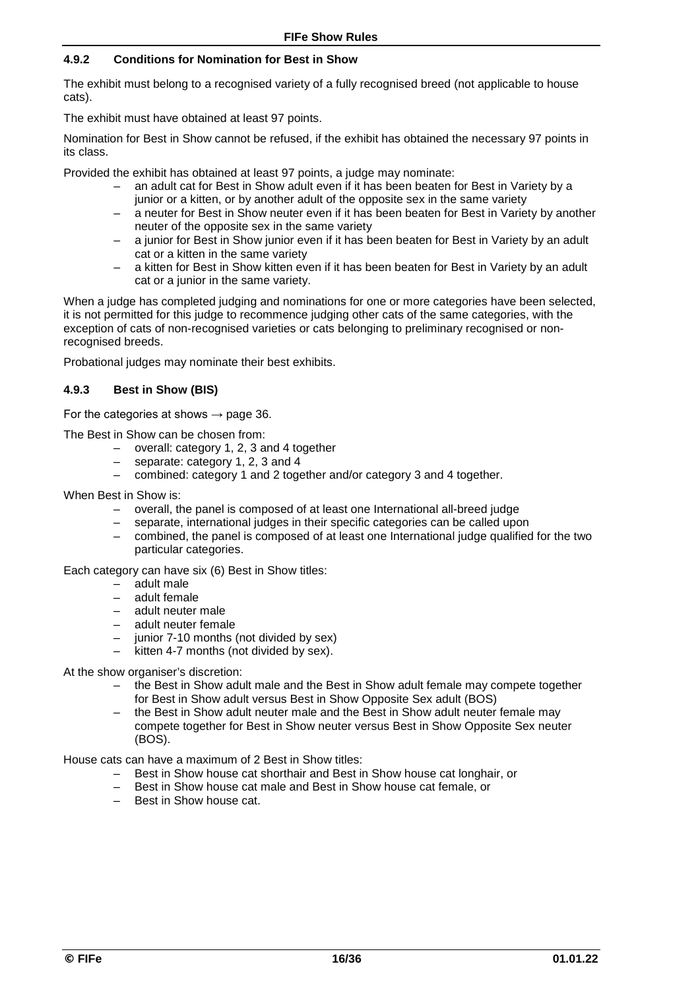#### **4.9.2 Conditions for Nomination for Best in Show**

The exhibit must belong to a recognised variety of a fully recognised breed (not applicable to house cats).

The exhibit must have obtained at least 97 points.

Nomination for Best in Show cannot be refused, if the exhibit has obtained the necessary 97 points in its class.

Provided the exhibit has obtained at least 97 points, a judge may nominate:

- an adult cat for Best in Show adult even if it has been beaten for Best in Variety by a junior or a kitten, or by another adult of the opposite sex in the same variety
- a neuter for Best in Show neuter even if it has been beaten for Best in Variety by another neuter of the opposite sex in the same variety
- a junior for Best in Show junior even if it has been beaten for Best in Variety by an adult cat or a kitten in the same variety
- a kitten for Best in Show kitten even if it has been beaten for Best in Variety by an adult cat or a junior in the same variety.

When a judge has completed judging and nominations for one or more categories have been selected, it is not permitted for this judge to recommence judging other cats of the same categories, with the exception of cats of non-recognised varieties or cats belonging to preliminary recognised or nonrecognised breeds.

Probational judges may nominate their best exhibits.

#### **4.9.3 Best in Show (BIS)**

For the categories at shows  $\rightarrow$  page 36.

The Best in Show can be chosen from:

- overall: category 1, 2, 3 and 4 together
- separate: category 1, 2, 3 and 4
- combined: category 1 and 2 together and/or category 3 and 4 together.

When Best in Show is:

- overall, the panel is composed of at least one International all-breed judge
- separate, international judges in their specific categories can be called upon
- combined, the panel is composed of at least one International judge qualified for the two particular categories.

Each category can have six (6) Best in Show titles:

- adult male
- adult female
- adult neuter male
- adult neuter female
- junior 7-10 months (not divided by sex)
- kitten 4-7 months (not divided by sex).

At the show organiser's discretion:

- the Best in Show adult male and the Best in Show adult female may compete together for Best in Show adult versus Best in Show Opposite Sex adult (BOS)
- the Best in Show adult neuter male and the Best in Show adult neuter female may compete together for Best in Show neuter versus Best in Show Opposite Sex neuter (BOS).

House cats can have a maximum of 2 Best in Show titles:

- Best in Show house cat shorthair and Best in Show house cat longhair, or
- Best in Show house cat male and Best in Show house cat female, or
- Best in Show house cat.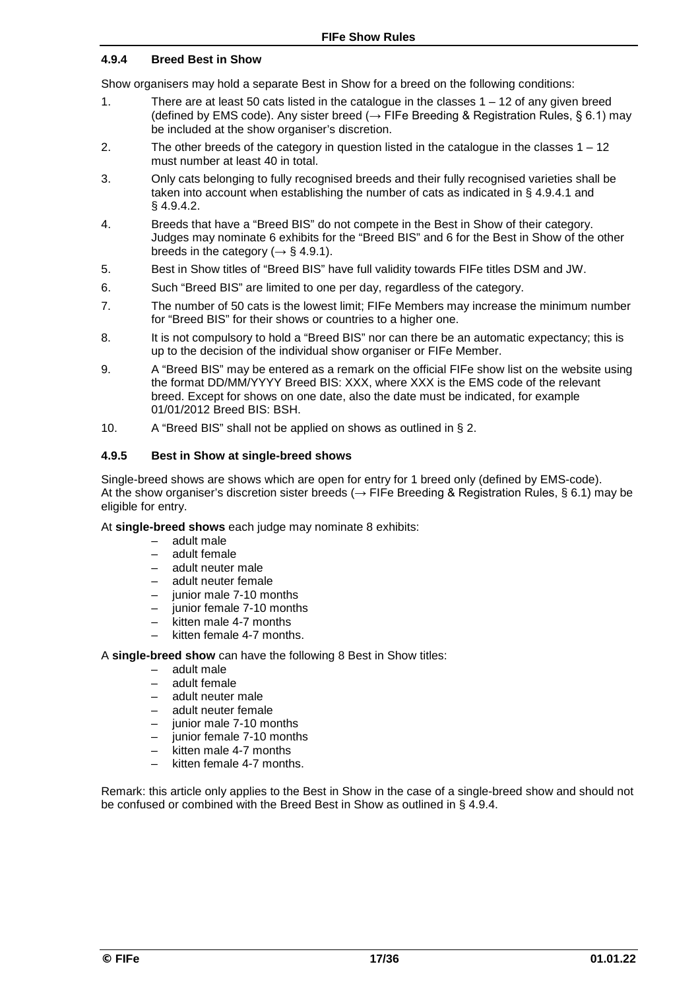#### **4.9.4 Breed Best in Show**

Show organisers may hold a separate Best in Show for a breed on the following conditions:

- 1. There are at least 50 cats listed in the catalogue in the classes 1 12 of any given breed (defined by EMS code). Any sister breed ( $\rightarrow$  FIFe Breeding & Registration Rules, § 6.1) may be included at the show organiser's discretion.
- 2. The other breeds of the category in question listed in the catalogue in the classes 1 12 must number at least 40 in total.
- 3. Only cats belonging to fully recognised breeds and their fully recognised varieties shall be taken into account when establishing the number of cats as indicated in § 4.9.4.1 and § 4.9.4.2.
- 4. Breeds that have a "Breed BIS" do not compete in the Best in Show of their category. Judges may nominate 6 exhibits for the "Breed BIS" and 6 for the Best in Show of the other breeds in the category ( $\rightarrow$  § 4.9.1).
- 5. Best in Show titles of "Breed BIS" have full validity towards FIFe titles DSM and JW.
- 6. Such "Breed BIS" are limited to one per day, regardless of the category.
- 7. The number of 50 cats is the lowest limit; FIFe Members may increase the minimum number for "Breed BIS" for their shows or countries to a higher one.
- 8. It is not compulsory to hold a "Breed BIS" nor can there be an automatic expectancy; this is up to the decision of the individual show organiser or FIFe Member.
- 9. A "Breed BIS" may be entered as a remark on the official FIFe show list on the website using the format DD/MM/YYYY Breed BIS: XXX, where XXX is the EMS code of the relevant breed. Except for shows on one date, also the date must be indicated, for example 01/01/2012 Breed BIS: BSH.
- 10. A "Breed BIS" shall not be applied on shows as outlined in § 2.

#### **4.9.5 Best in Show at single-breed shows**

Single-breed shows are shows which are open for entry for 1 breed only (defined by EMS-code). At the show organiser's discretion sister breeds (*→* FIFe Breeding & Registration Rules, § 6.1) may be eligible for entry.

At **single-breed shows** each judge may nominate 8 exhibits:

- adult male
- adult female
- adult neuter male
- adult neuter female
- junior male 7-10 months
- junior female 7-10 months
- kitten male 4-7 months
- kitten female 4-7 months.

A **single-breed show** can have the following 8 Best in Show titles:

- adult male
- adult female
- adult neuter male
- adult neuter female
- junior male 7-10 months
- junior female 7-10 months
- kitten male 4-7 months
- kitten female 4-7 months.

Remark: this article only applies to the Best in Show in the case of a single-breed show and should not be confused or combined with the Breed Best in Show as outlined in § 4.9.4.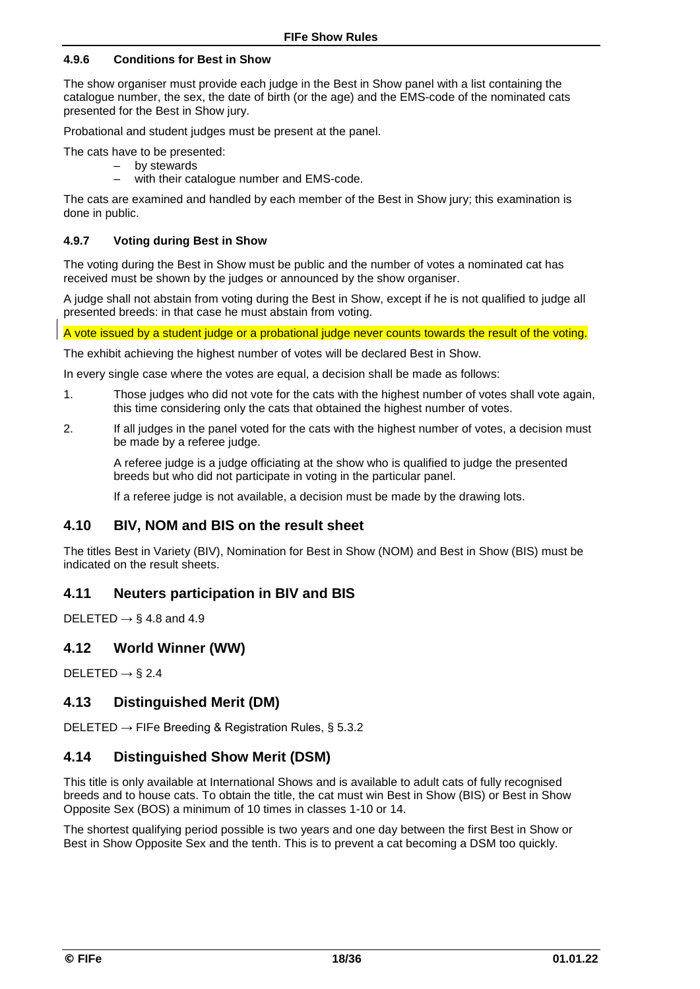#### **4.9.6 Conditions for Best in Show**

The show organiser must provide each judge in the Best in Show panel with a list containing the catalogue number, the sex, the date of birth (or the age) and the EMS-code of the nominated cats presented for the Best in Show jury.

Probational and student judges must be present at the panel.

The cats have to be presented:

- by stewards
- with their catalogue number and EMS-code.

The cats are examined and handled by each member of the Best in Show jury; this examination is done in public.

#### **4.9.7 Voting during Best in Show**

The voting during the Best in Show must be public and the number of votes a nominated cat has received must be shown by the judges or announced by the show organiser.

A judge shall not abstain from voting during the Best in Show, except if he is not qualified to judge all presented breeds: in that case he must abstain from voting.

A vote issued by a student judge or a probational judge never counts towards the result of the voting.

The exhibit achieving the highest number of votes will be declared Best in Show.

In every single case where the votes are equal, a decision shall be made as follows:

- 1. Those judges who did not vote for the cats with the highest number of votes shall vote again, this time considering only the cats that obtained the highest number of votes.
- 2. If all judges in the panel voted for the cats with the highest number of votes, a decision must be made by a referee judge.

A referee judge is a judge officiating at the show who is qualified to judge the presented breeds but who did not participate in voting in the particular panel.

If a referee judge is not available, a decision must be made by the drawing lots.

### **4.10 BIV, NOM and BIS on the result sheet**

The titles Best in Variety (BIV), Nomination for Best in Show (NOM) and Best in Show (BIS) must be indicated on the result sheets.

#### **4.11 Neuters participation in BIV and BIS**

DELETED *→* § 4.8 and 4.9

### **4.12 World Winner (WW)**

DELETED *→* § 2.4

#### **4.13 Distinguished Merit (DM)**

DELETED *→* FIFe Breeding & Registration Rules, § 5.3.2

### **4.14 Distinguished Show Merit (DSM)**

This title is only available at International Shows and is available to adult cats of fully recognised breeds and to house cats. To obtain the title, the cat must win Best in Show (BIS) or Best in Show Opposite Sex (BOS) a minimum of 10 times in classes 1-10 or 14.

The shortest qualifying period possible is two years and one day between the first Best in Show or Best in Show Opposite Sex and the tenth. This is to prevent a cat becoming a DSM too quickly.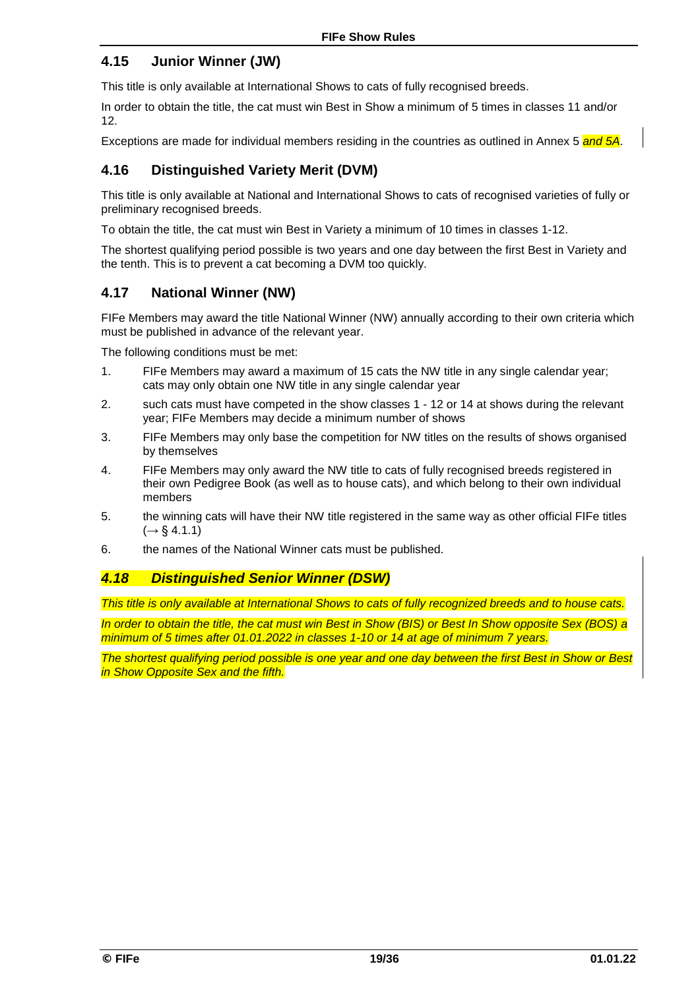### **4.15 Junior Winner (JW)**

This title is only available at International Shows to cats of fully recognised breeds.

In order to obtain the title, the cat must win Best in Show a minimum of 5 times in classes 11 and/or 12.

Exceptions are made for individual members residing in the countries as outlined in Annex 5 *and 5A*.

### **4.16 Distinguished Variety Merit (DVM)**

This title is only available at National and International Shows to cats of recognised varieties of fully or preliminary recognised breeds.

To obtain the title, the cat must win Best in Variety a minimum of 10 times in classes 1-12.

The shortest qualifying period possible is two years and one day between the first Best in Variety and the tenth. This is to prevent a cat becoming a DVM too quickly.

### **4.17 National Winner (NW)**

FIFe Members may award the title National Winner (NW) annually according to their own criteria which must be published in advance of the relevant year.

The following conditions must be met:

- 1. FIFe Members may award a maximum of 15 cats the NW title in any single calendar year; cats may only obtain one NW title in any single calendar year
- 2. such cats must have competed in the show classes 1 12 or 14 at shows during the relevant year; FIFe Members may decide a minimum number of shows
- 3. FIFe Members may only base the competition for NW titles on the results of shows organised by themselves
- 4. FIFe Members may only award the NW title to cats of fully recognised breeds registered in their own Pedigree Book (as well as to house cats), and which belong to their own individual members
- 5. the winning cats will have their NW title registered in the same way as other official FIFe titles  $(\rightarrow \S 4.1.1)$
- 6. the names of the National Winner cats must be published.

### *4.18 Distinguished Senior Winner (DSW)*

*This title is only available at International Shows to cats of fully recognized breeds and to house cats.* 

*In order to obtain the title, the cat must win Best in Show (BIS) or Best In Show opposite Sex (BOS) a minimum of 5 times after 01.01.2022 in classes 1-10 or 14 at age of minimum 7 years.* 

*The shortest qualifying period possible is one year and one day between the first Best in Show or Best in Show Opposite Sex and the fifth.*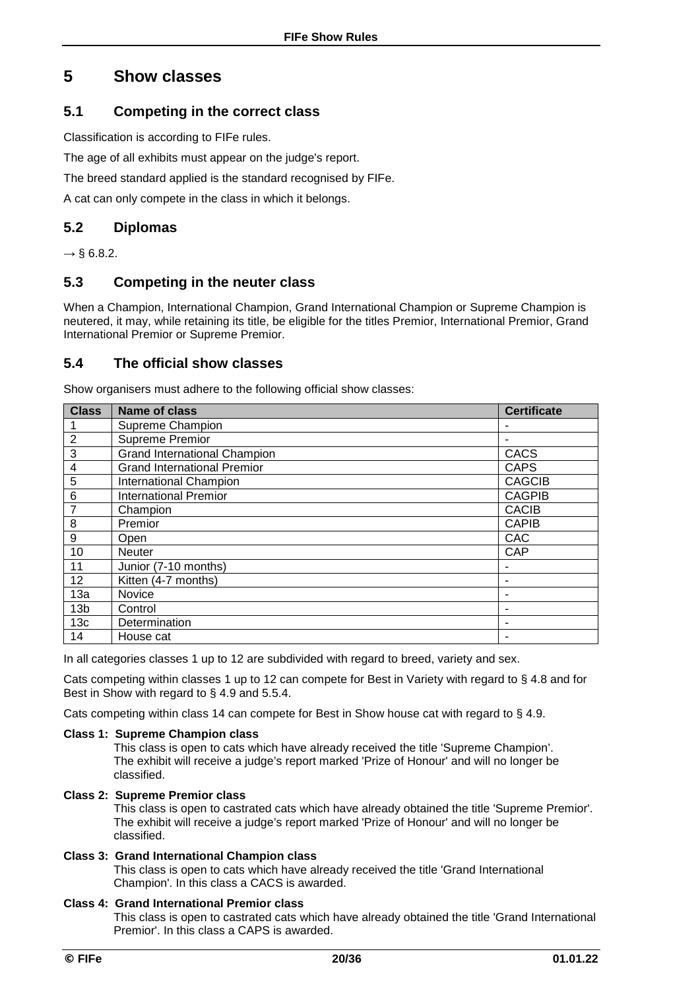## **5 Show classes**

### **5.1 Competing in the correct class**

Classification is according to FIFe rules.

The age of all exhibits must appear on the judge's report.

The breed standard applied is the standard recognised by FIFe.

A cat can only compete in the class in which it belongs.

### **5.2 Diplomas**

*→* § 6.8.2.

### **5.3 Competing in the neuter class**

When a Champion, International Champion, Grand International Champion or Supreme Champion is neutered, it may, while retaining its title, be eligible for the titles Premior, International Premior, Grand International Premior or Supreme Premior.

### **5.4 The official show classes**

Show organisers must adhere to the following official show classes:

| <b>Class</b>    | <b>Name of class</b>                | <b>Certificate</b> |
|-----------------|-------------------------------------|--------------------|
|                 | Supreme Champion                    |                    |
| $\overline{2}$  | Supreme Premior                     |                    |
| 3               | <b>Grand International Champion</b> | CACS               |
| 4               | <b>Grand International Premior</b>  | <b>CAPS</b>        |
| 5               | <b>International Champion</b>       | <b>CAGCIB</b>      |
| 6               | <b>International Premior</b>        | <b>CAGPIB</b>      |
| 7               | Champion                            | <b>CACIB</b>       |
| 8               | Premior                             | <b>CAPIB</b>       |
| 9               | Open                                | CAC                |
| 10              | <b>Neuter</b>                       | <b>CAP</b>         |
| 11              | Junior (7-10 months)                |                    |
| 12              | Kitten (4-7 months)                 |                    |
| 13a             | Novice                              |                    |
| 13 <sub>b</sub> | Control                             |                    |
| 13 <sub>c</sub> | Determination                       |                    |
| 14              | House cat                           |                    |

In all categories classes 1 up to 12 are subdivided with regard to breed, variety and sex.

Cats competing within classes 1 up to 12 can compete for Best in Variety with regard to § 4.8 and for Best in Show with regard to § 4.9 and 5.5.4.

Cats competing within class 14 can compete for Best in Show house cat with regard to § 4.9.

#### **Class 1: Supreme Champion class**

This class is open to cats which have already received the title 'Supreme Champion'. The exhibit will receive a judge's report marked 'Prize of Honour' and will no longer be classified.

#### **Class 2: Supreme Premior class**

This class is open to castrated cats which have already obtained the title 'Supreme Premior'. The exhibit will receive a judge's report marked 'Prize of Honour' and will no longer be classified.

#### **Class 3: Grand International Champion class**

This class is open to cats which have already received the title 'Grand International Champion'. In this class a CACS is awarded.

#### **Class 4: Grand International Premior class**

This class is open to castrated cats which have already obtained the title 'Grand International Premior'. In this class a CAPS is awarded.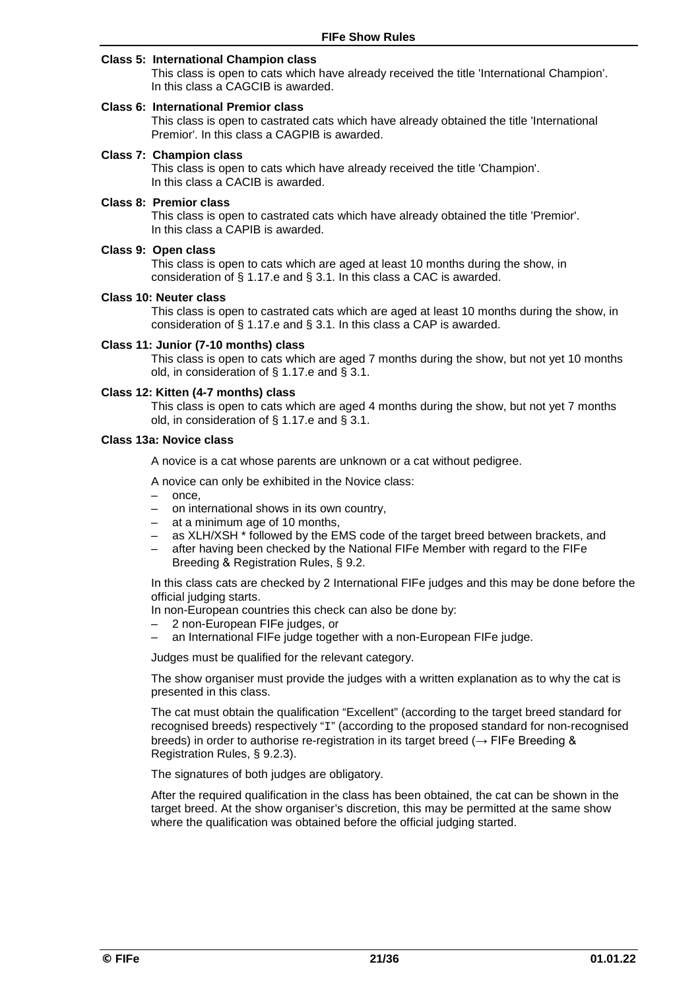#### **Class 5: International Champion class**

This class is open to cats which have already received the title 'International Champion'. In this class a CAGCIB is awarded.

#### **Class 6: International Premior class**

This class is open to castrated cats which have already obtained the title 'International Premior'. In this class a CAGPIB is awarded.

#### **Class 7: Champion class**

This class is open to cats which have already received the title 'Champion'. In this class a CACIB is awarded.

#### **Class 8: Premior class**

This class is open to castrated cats which have already obtained the title 'Premior'. In this class a CAPIB is awarded.

#### **Class 9: Open class**

This class is open to cats which are aged at least 10 months during the show, in consideration of § 1.17.e and § 3.1. In this class a CAC is awarded.

#### **Class 10: Neuter class**

This class is open to castrated cats which are aged at least 10 months during the show, in consideration of § 1.17.e and § 3.1. In this class a CAP is awarded.

#### **Class 11: Junior (7-10 months) class**

This class is open to cats which are aged 7 months during the show, but not yet 10 months old, in consideration of § 1.17.e and § 3.1.

#### **Class 12: Kitten (4-7 months) class**

This class is open to cats which are aged 4 months during the show, but not yet 7 months old, in consideration of § 1.17.e and § 3.1.

#### **Class 13a: Novice class**

A novice is a cat whose parents are unknown or a cat without pedigree.

A novice can only be exhibited in the Novice class:

- once,
- on international shows in its own country,
- at a minimum age of 10 months,
- as XLH/XSH \* followed by the EMS code of the target breed between brackets, and
- after having been checked by the National FIFe Member with regard to the FIFe Breeding & Registration Rules, § 9.2.

In this class cats are checked by 2 International FIFe judges and this may be done before the official judging starts.

In non-European countries this check can also be done by:

- 2 non-European FIFe judges, or<br>– an International FIFe judge toget
- an International FIFe judge together with a non-European FIFe judge.

Judges must be qualified for the relevant category.

The show organiser must provide the judges with a written explanation as to why the cat is presented in this class.

The cat must obtain the qualification "Excellent" (according to the target breed standard for recognised breeds) respectively "I" (according to the proposed standard for non-recognised breeds) in order to authorise re-registration in its target breed ( $\rightarrow$  FIFe Breeding & Registration Rules, § 9.2.3).

The signatures of both judges are obligatory.

After the required qualification in the class has been obtained, the cat can be shown in the target breed. At the show organiser's discretion, this may be permitted at the same show where the qualification was obtained before the official judging started.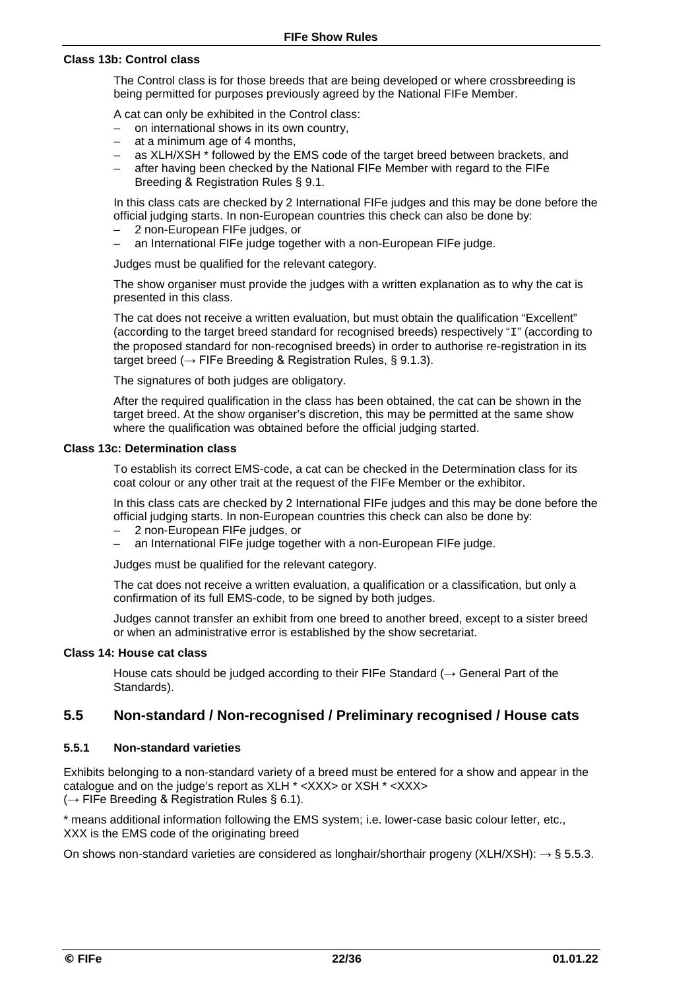#### **Class 13b: Control class**

The Control class is for those breeds that are being developed or where crossbreeding is being permitted for purposes previously agreed by the National FIFe Member.

A cat can only be exhibited in the Control class:

- on international shows in its own country,
- at a minimum age of 4 months,
- as XLH/XSH \* followed by the EMS code of the target breed between brackets, and
- after having been checked by the National FIFe Member with regard to the FIFe Breeding & Registration Rules § 9.1.

In this class cats are checked by 2 International FIFe judges and this may be done before the official judging starts. In non-European countries this check can also be done by:

- 2 non-European FIFe judges, or
- an International FIFe judge together with a non-European FIFe judge.

Judges must be qualified for the relevant category.

The show organiser must provide the judges with a written explanation as to why the cat is presented in this class.

The cat does not receive a written evaluation, but must obtain the qualification "Excellent" (according to the target breed standard for recognised breeds) respectively " $I$ " (according to the proposed standard for non-recognised breeds) in order to authorise re-registration in its target breed ( $\rightarrow$  FIFe Breeding & Registration Rules, § 9.1.3).

The signatures of both judges are obligatory.

After the required qualification in the class has been obtained, the cat can be shown in the target breed. At the show organiser's discretion, this may be permitted at the same show where the qualification was obtained before the official judging started.

#### **Class 13c: Determination class**

To establish its correct EMS-code, a cat can be checked in the Determination class for its coat colour or any other trait at the request of the FIFe Member or the exhibitor.

In this class cats are checked by 2 International FIFe judges and this may be done before the official judging starts. In non-European countries this check can also be done by:

- 2 non-European FIFe judges, or
- an International FIFe judge together with a non-European FIFe judge.

Judges must be qualified for the relevant category.

The cat does not receive a written evaluation, a qualification or a classification, but only a confirmation of its full EMS-code, to be signed by both judges.

Judges cannot transfer an exhibit from one breed to another breed, except to a sister breed or when an administrative error is established by the show secretariat.

#### **Class 14: House cat class**

House cats should be judged according to their FIFe Standard ( $\rightarrow$  General Part of the Standards).

### **5.5 Non-standard / Non-recognised / Preliminary recognised / House cats**

#### **5.5.1 Non-standard varieties**

Exhibits belonging to a non-standard variety of a breed must be entered for a show and appear in the catalogue and on the judge's report as XLH \* <XXX> or XSH \* <XXX> (*→* FIFe Breeding & Registration Rules § 6.1).

\* means additional information following the EMS system; i.e. lower-case basic colour letter, etc., XXX is the EMS code of the originating breed

On shows non-standard varieties are considered as longhair/shorthair progeny (XLH/XSH): *→* § 5.5.3.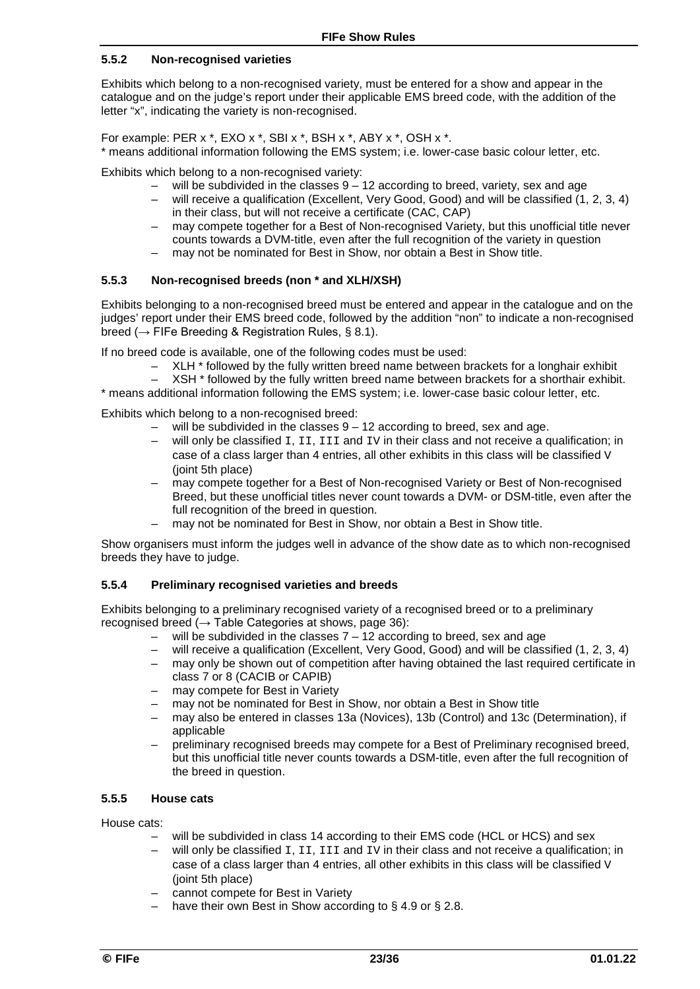#### **5.5.2 Non-recognised varieties**

Exhibits which belong to a non-recognised variety, must be entered for a show and appear in the catalogue and on the judge's report under their applicable EMS breed code, with the addition of the letter "x", indicating the variety is non-recognised.

For example: PER x \*, EXO x \*, SBI x \*, BSH x \*, ABY x \*, OSH x \*. \* means additional information following the EMS system; i.e. lower-case basic colour letter, etc.

Exhibits which belong to a non-recognised variety:

- will be subdivided in the classes  $9 12$  according to breed, variety, sex and age will receive a qualification (Excellent, Very Good, Good) and will be classified (1.
- will receive a qualification (Excellent, Very Good, Good) and will be classified (1, 2, 3, 4) in their class, but will not receive a certificate (CAC, CAP)
- may compete together for a Best of Non-recognised Variety, but this unofficial title never counts towards a DVM-title, even after the full recognition of the variety in question
- may not be nominated for Best in Show, nor obtain a Best in Show title.

#### **5.5.3 Non-recognised breeds (non \* and XLH/XSH)**

Exhibits belonging to a non-recognised breed must be entered and appear in the catalogue and on the judges' report under their EMS breed code, followed by the addition "non" to indicate a non-recognised breed ( $\rightarrow$  FIFe Breeding & Registration Rules, § 8.1).

If no breed code is available, one of the following codes must be used:

– XLH \* followed by the fully written breed name between brackets for a longhair exhibit<br>– XSH \* followed by the fully written breed name between brackets for a shorthair exhibit

XSH \* followed by the fully written breed name between brackets for a shorthair exhibit.

\* means additional information following the EMS system; i.e. lower-case basic colour letter, etc.

Exhibits which belong to a non-recognised breed:

- will be subdivided in the classes  $9 12$  according to breed, sex and age.
- will only be classified  $I, II, III$  and  $IV$  in their class and not receive a qualification; in case of a class larger than 4 entries, all other exhibits in this class will be classified  $V$ (joint 5th place)
- may compete together for a Best of Non-recognised Variety or Best of Non-recognised Breed, but these unofficial titles never count towards a DVM- or DSM-title, even after the full recognition of the breed in question.
- may not be nominated for Best in Show, nor obtain a Best in Show title.

Show organisers must inform the judges well in advance of the show date as to which non-recognised breeds they have to judge.

#### **5.5.4 Preliminary recognised varieties and breeds**

Exhibits belonging to a preliminary recognised variety of a recognised breed or to a preliminary recognised breed ( $\rightarrow$  Table Categories at shows, page 36):

- will be subdivided in the classes  $7 12$  according to breed, sex and age
- will receive a qualification (Excellent, Very Good, Good) and will be classified (1, 2, 3, 4)
- may only be shown out of competition after having obtained the last required certificate in class 7 or 8 (CACIB or CAPIB)
- may compete for Best in Variety
- may not be nominated for Best in Show, nor obtain a Best in Show title
- may also be entered in classes 13a (Novices), 13b (Control) and 13c (Determination), if applicable
- preliminary recognised breeds may compete for a Best of Preliminary recognised breed, but this unofficial title never counts towards a DSM-title, even after the full recognition of the breed in question.

#### **5.5.5 House cats**

House cats:

- will be subdivided in class 14 according to their EMS code (HCL or HCS) and sex
- will only be classified  $I, II, III$  and  $IV$  in their class and not receive a qualification; in case of a class larger than 4 entries, all other exhibits in this class will be classified  $V$ (joint 5th place)
- cannot compete for Best in Variety
- have their own Best in Show according to  $\S$  4.9 or  $\S$  2.8.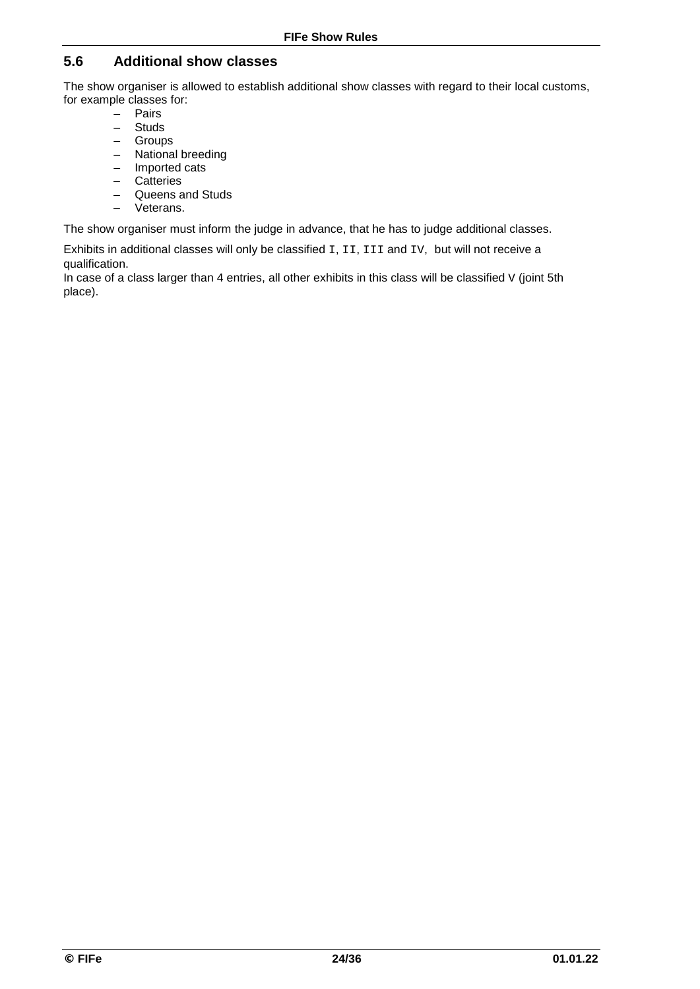### **5.6 Additional show classes**

The show organiser is allowed to establish additional show classes with regard to their local customs, for example classes for:

- $\begin{bmatrix} & \text{Pairs} \\ & \text{Strids} \end{bmatrix}$
- **Studs**
- Groups
- National breeding
- Imported cats **Catteries**
- Queens and Studs
- Veterans.

The show organiser must inform the judge in advance, that he has to judge additional classes.

Exhibits in additional classes will only be classified I, II, III and IV, but will not receive a qualification.

In case of a class larger than 4 entries, all other exhibits in this class will be classified  $V$  (joint 5th place).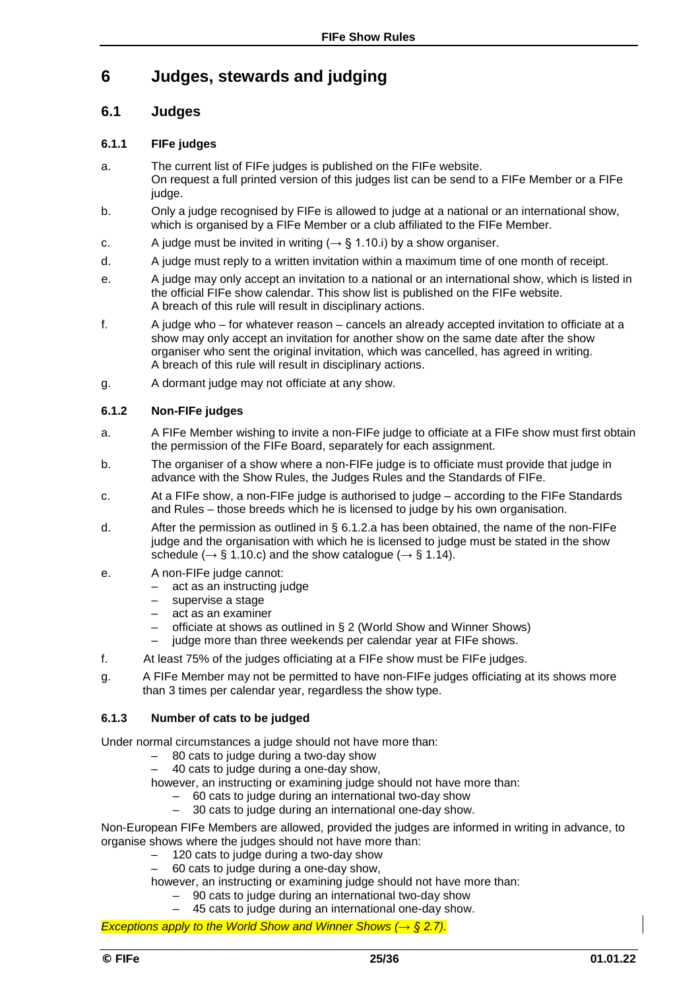## **6 Judges, stewards and judging**

### **6.1 Judges**

#### **6.1.1 FIFe judges**

- a. The current list of FIFe judges is published on the FIFe website. On request a full printed version of this judges list can be send to a FIFe Member or a FIFe judge.
- b. Only a judge recognised by FIFe is allowed to judge at a national or an international show, which is organised by a FIFe Member or a club affiliated to the FIFe Member.
- c. A judge must be invited in writing ( $\rightarrow$  § 1.10.i) by a show organiser.
- d. A judge must reply to a written invitation within a maximum time of one month of receipt.
- e. A judge may only accept an invitation to a national or an international show, which is listed in the official FIFe show calendar. This show list is published on the FIFe website. A breach of this rule will result in disciplinary actions.
- f. A judge who for whatever reason cancels an already accepted invitation to officiate at a show may only accept an invitation for another show on the same date after the show organiser who sent the original invitation, which was cancelled, has agreed in writing. A breach of this rule will result in disciplinary actions.
- g. A dormant judge may not officiate at any show.

#### **6.1.2 Non-FIFe judges**

- a. A FIFe Member wishing to invite a non-FIFe judge to officiate at a FIFe show must first obtain the permission of the FIFe Board, separately for each assignment.
- b. The organiser of a show where a non-FIFe judge is to officiate must provide that judge in advance with the Show Rules, the Judges Rules and the Standards of FIFe.
- c. At a FIFe show, a non-FIFe judge is authorised to judge according to the FIFe Standards and Rules – those breeds which he is licensed to judge by his own organisation.
- d. After the permission as outlined in § 6.1.2.a has been obtained, the name of the non-FIFe judge and the organisation with which he is licensed to judge must be stated in the show schedule ( $\rightarrow$  § 1.10.c) and the show catalogue ( $\rightarrow$  § 1.14).
- e. A non-FIFe judge cannot:
	- act as an instructing judge
	- supervise a stage
	- act as an examiner
	- officiate at shows as outlined in § 2 (World Show and Winner Shows)
	- judge more than three weekends per calendar year at FIFe shows.
- f. At least 75% of the judges officiating at a FIFe show must be FIFe judges.
- g. A FIFe Member may not be permitted to have non-FIFe judges officiating at its shows more than 3 times per calendar year, regardless the show type.

#### **6.1.3 Number of cats to be judged**

Under normal circumstances a judge should not have more than:

- $-$  80 cats to judge during a two-day show<br> $-$  40 cats to judge during a one-day show
- 40 cats to judge during a one-day show,

however, an instructing or examining judge should not have more than:

- $-$  60 cats to judge during an international two-day show  $-$  30 cats to judge during an international one-day show
- 30 cats to judge during an international one-day show.

Non-European FIFe Members are allowed, provided the judges are informed in writing in advance, to organise shows where the judges should not have more than:

- 120 cats to judge during a two-day show
- 60 cats to judge during a one-day show,
- however, an instructing or examining judge should not have more than:
	- 90 cats to judge during an international two-day show
	- 45 cats to judge during an international one-day show.

*Exceptions apply to the World Show and Winner Shows (→ § 2.7).*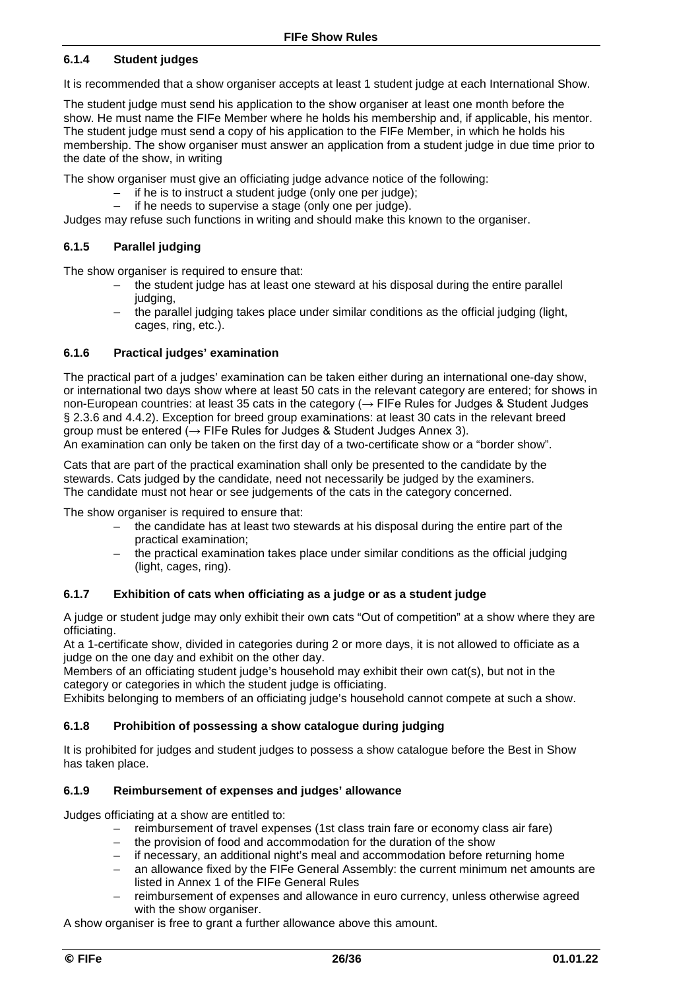#### **6.1.4 Student judges**

It is recommended that a show organiser accepts at least 1 student judge at each International Show.

The student judge must send his application to the show organiser at least one month before the show. He must name the FIFe Member where he holds his membership and, if applicable, his mentor. The student judge must send a copy of his application to the FIFe Member, in which he holds his membership. The show organiser must answer an application from a student judge in due time prior to the date of the show, in writing

The show organiser must give an officiating judge advance notice of the following:

- if he is to instruct a student judge (only one per judge);
- if he needs to supervise a stage (only one per judge).

Judges may refuse such functions in writing and should make this known to the organiser.

#### **6.1.5 Parallel judging**

The show organiser is required to ensure that:

- the student judge has at least one steward at his disposal during the entire parallel judging,
- the parallel judging takes place under similar conditions as the official judging (light, cages, ring, etc.).

#### **6.1.6 Practical judges' examination**

The practical part of a judges' examination can be taken either during an international one-day show, or international two days show where at least 50 cats in the relevant category are entered; for shows in non-European countries: at least 35 cats in the category (→ FIFe Rules for Judges & Student Judges § 2.3.6 and 4.4.2). Exception for breed group examinations: at least 30 cats in the relevant breed group must be entered ( $\rightarrow$  FIFe Rules for Judges & Student Judges Annex 3).

An examination can only be taken on the first day of a two-certificate show or a "border show".

Cats that are part of the practical examination shall only be presented to the candidate by the stewards. Cats judged by the candidate, need not necessarily be judged by the examiners. The candidate must not hear or see judgements of the cats in the category concerned.

The show organiser is required to ensure that:

- the candidate has at least two stewards at his disposal during the entire part of the practical examination;
- the practical examination takes place under similar conditions as the official judging (light, cages, ring).

#### **6.1.7 Exhibition of cats when officiating as a judge or as a student judge**

A judge or student judge may only exhibit their own cats "Out of competition" at a show where they are officiating.

At a 1-certificate show, divided in categories during 2 or more days, it is not allowed to officiate as a judge on the one day and exhibit on the other day.

Members of an officiating student judge's household may exhibit their own cat(s), but not in the category or categories in which the student judge is officiating.

Exhibits belonging to members of an officiating judge's household cannot compete at such a show.

#### **6.1.8 Prohibition of possessing a show catalogue during judging**

It is prohibited for judges and student judges to possess a show catalogue before the Best in Show has taken place.

#### **6.1.9 Reimbursement of expenses and judges' allowance**

Judges officiating at a show are entitled to:

- reimbursement of travel expenses (1st class train fare or economy class air fare)
- the provision of food and accommodation for the duration of the show
- if necessary, an additional night's meal and accommodation before returning home
- an allowance fixed by the FIFe General Assembly: the current minimum net amounts are listed in Annex 1 of the FIFe General Rules
- reimbursement of expenses and allowance in euro currency, unless otherwise agreed with the show organiser.

A show organiser is free to grant a further allowance above this amount.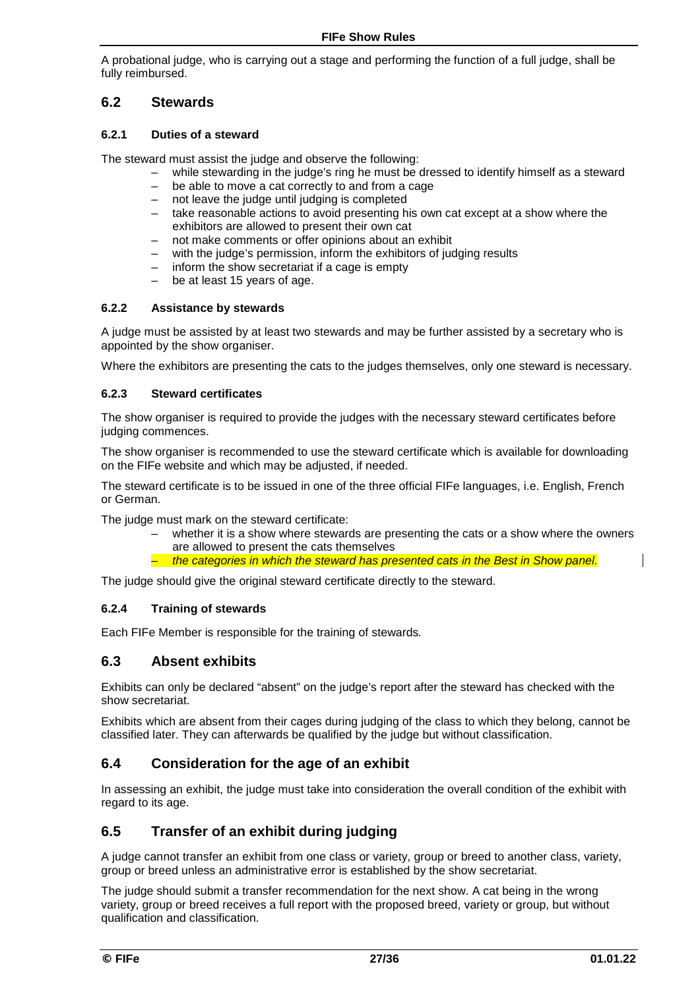A probational judge, who is carrying out a stage and performing the function of a full judge, shall be fully reimbursed.

### **6.2 Stewards**

#### **6.2.1 Duties of a steward**

The steward must assist the judge and observe the following:

- while stewarding in the judge's ring he must be dressed to identify himself as a steward
- be able to move a cat correctly to and from a cage
- not leave the judge until judging is completed
- take reasonable actions to avoid presenting his own cat except at a show where the exhibitors are allowed to present their own cat
- not make comments or offer opinions about an exhibit
- with the judge's permission, inform the exhibitors of judging results
- inform the show secretariat if a cage is empty
- be at least 15 years of age.

#### **6.2.2 Assistance by stewards**

A judge must be assisted by at least two stewards and may be further assisted by a secretary who is appointed by the show organiser.

Where the exhibitors are presenting the cats to the judges themselves, only one steward is necessary.

#### **6.2.3 Steward certificates**

The show organiser is required to provide the judges with the necessary steward certificates before judging commences.

The show organiser is recommended to use the steward certificate which is available for downloading on the FIFe website and which may be adjusted, if needed.

The steward certificate is to be issued in one of the three official FIFe languages, i.e. English, French or German.

The judge must mark on the steward certificate:

- whether it is a show where stewards are presenting the cats or a show where the owners are allowed to present the cats themselves
- *the categories in which the steward has presented cats in the Best in Show panel.*

The judge should give the original steward certificate directly to the steward.

#### **6.2.4 Training of stewards**

Each FIFe Member is responsible for the training of stewards*.* 

### **6.3 Absent exhibits**

Exhibits can only be declared "absent" on the judge's report after the steward has checked with the show secretariat.

Exhibits which are absent from their cages during judging of the class to which they belong, cannot be classified later. They can afterwards be qualified by the judge but without classification.

### **6.4 Consideration for the age of an exhibit**

In assessing an exhibit, the judge must take into consideration the overall condition of the exhibit with regard to its age.

### **6.5 Transfer of an exhibit during judging**

A judge cannot transfer an exhibit from one class or variety, group or breed to another class, variety, group or breed unless an administrative error is established by the show secretariat.

The judge should submit a transfer recommendation for the next show. A cat being in the wrong variety, group or breed receives a full report with the proposed breed, variety or group, but without qualification and classification.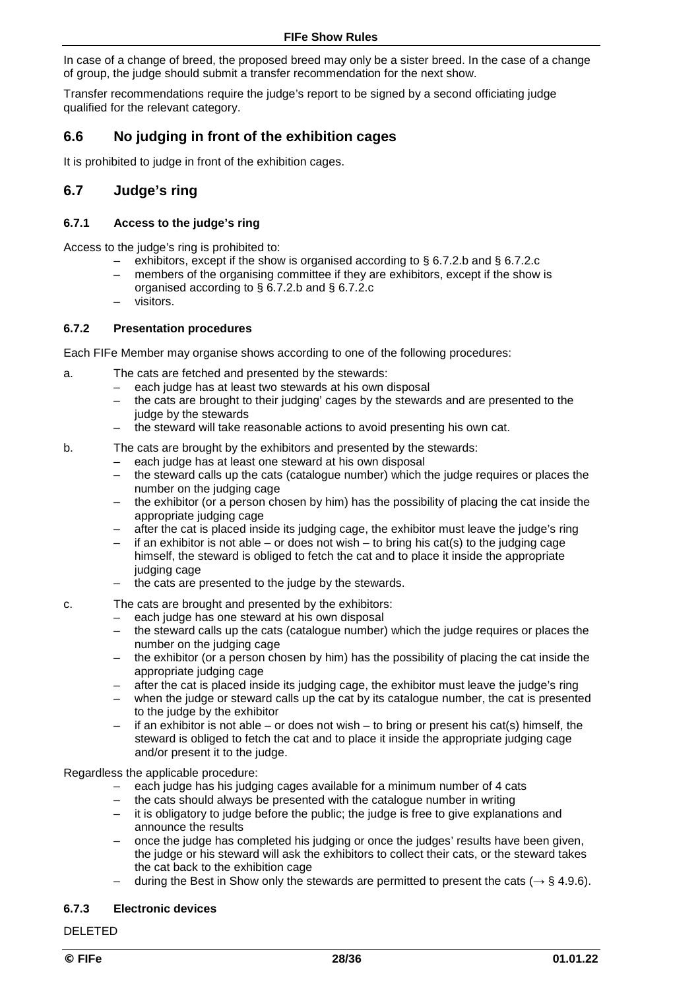In case of a change of breed, the proposed breed may only be a sister breed. In the case of a change of group, the judge should submit a transfer recommendation for the next show.

Transfer recommendations require the judge's report to be signed by a second officiating judge qualified for the relevant category.

### **6.6 No judging in front of the exhibition cages**

It is prohibited to judge in front of the exhibition cages.

### **6.7 Judge's ring**

#### **6.7.1 Access to the judge's ring**

Access to the judge's ring is prohibited to:

- exhibitors, except if the show is organised according to § 6.7.2.b and § 6.7.2.c
- members of the organising committee if they are exhibitors, except if the show is organised according to § 6.7.2.b and § 6.7.2.c
- visitors.

#### **6.7.2 Presentation procedures**

Each FIFe Member may organise shows according to one of the following procedures:

- a. The cats are fetched and presented by the stewards:
	- each judge has at least two stewards at his own disposal
	- the cats are brought to their judging' cages by the stewards and are presented to the judge by the stewards
	- the steward will take reasonable actions to avoid presenting his own cat.
- b. The cats are brought by the exhibitors and presented by the stewards:
	- each judge has at least one steward at his own disposal
	- the steward calls up the cats (catalogue number) which the judge requires or places the number on the judging cage
	- the exhibitor (or a person chosen by him) has the possibility of placing the cat inside the appropriate judging cage
	- after the cat is placed inside its judging cage, the exhibitor must leave the judge's ring
	- $-$  if an exhibitor is not able or does not wish to bring his cat(s) to the judging cage himself, the steward is obliged to fetch the cat and to place it inside the appropriate judging cage
	- the cats are presented to the judge by the stewards.
- c. The cats are brought and presented by the exhibitors:
	- each judge has one steward at his own disposal
	- the steward calls up the cats (catalogue number) which the judge requires or places the number on the judging cage
	- the exhibitor (or a person chosen by him) has the possibility of placing the cat inside the appropriate judging cage
	- after the cat is placed inside its judging cage, the exhibitor must leave the judge's ring
	- when the judge or steward calls up the cat by its catalogue number, the cat is presented to the judge by the exhibitor
	- if an exhibitor is not able or does not wish to bring or present his cat(s) himself, the steward is obliged to fetch the cat and to place it inside the appropriate judging cage and/or present it to the judge.

Regardless the applicable procedure:

- each judge has his judging cages available for a minimum number of 4 cats
- the cats should always be presented with the catalogue number in writing
- it is obligatory to judge before the public; the judge is free to give explanations and announce the results
- once the judge has completed his judging or once the judges' results have been given, the judge or his steward will ask the exhibitors to collect their cats, or the steward takes the cat back to the exhibition cage
- during the Best in Show only the stewards are permitted to present the cats (*→* § 4.9.6).

#### **6.7.3 Electronic devices**

DELETED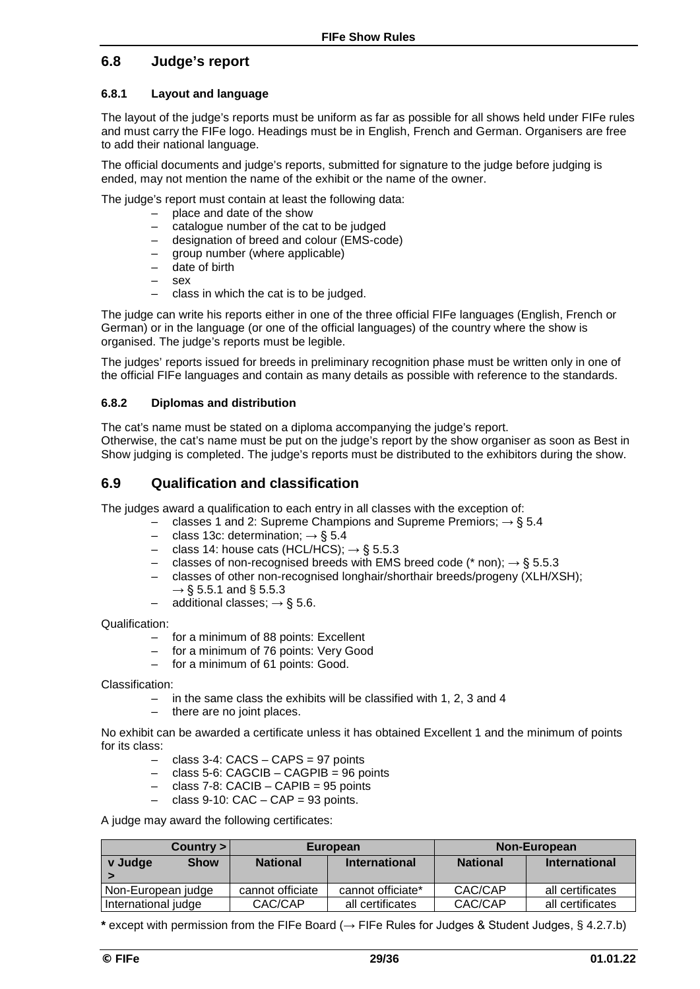### **6.8 Judge's report**

#### **6.8.1 Layout and language**

The layout of the judge's reports must be uniform as far as possible for all shows held under FIFe rules and must carry the FIFe logo. Headings must be in English, French and German. Organisers are free to add their national language.

The official documents and judge's reports, submitted for signature to the judge before judging is ended, may not mention the name of the exhibit or the name of the owner.

The judge's report must contain at least the following data:

- place and date of the show
- catalogue number of the cat to be judged
- designation of breed and colour (EMS-code)
- group number (where applicable)
- date of birth
- $-$  sex
- class in which the cat is to be judged.

The judge can write his reports either in one of the three official FIFe languages (English, French or German) or in the language (or one of the official languages) of the country where the show is organised. The judge's reports must be legible.

The judges' reports issued for breeds in preliminary recognition phase must be written only in one of the official FIFe languages and contain as many details as possible with reference to the standards.

#### **6.8.2 Diplomas and distribution**

The cat's name must be stated on a diploma accompanying the judge's report. Otherwise, the cat's name must be put on the judge's report by the show organiser as soon as Best in Show judging is completed. The judge's reports must be distributed to the exhibitors during the show.

### **6.9 Qualification and classification**

The judges award a qualification to each entry in all classes with the exception of:

- classes 1 and 2: Supreme Champions and Supreme Premiors; → § 5.4
- class 13c: determination;  $\rightarrow$  § 5.4
- class 14: house cats (HCL/HCS);  $\rightarrow$  § 5.5.3
- classes of non-recognised breeds with EMS breed code (\* non);  $\rightarrow$  § 5.5.3
- classes of other non-recognised longhair/shorthair breeds/progeny (XLH/XSH);  $\rightarrow$  § 5.5.1 and § 5.5.3
- $-$  additional classes;  $\rightarrow$  § 5.6.

Qualification:

- for a minimum of 88 points: Excellent
- for a minimum of 76 points: Very Good
- for a minimum of 61 points: Good.

Classification:

- in the same class the exhibits will be classified with 1, 2, 3 and 4
- there are no joint places.

No exhibit can be awarded a certificate unless it has obtained Excellent 1 and the minimum of points for its class:

- $-$  class 3-4: CACS  $-$  CAPS = 97 points
- class 5-6: CAGCIB CAGPIB = 96 points
- class 7-8: CACIB CAPIB = 95 points
- $-$  class 9-10: CAC  $-$  CAP = 93 points.

A judge may award the following certificates:

|                        | Country > |                  | European             | Non-European    |                      |  |
|------------------------|-----------|------------------|----------------------|-----------------|----------------------|--|
| <b>Show</b><br>v Judge |           | <b>National</b>  | <b>International</b> | <b>National</b> | <b>International</b> |  |
|                        |           |                  |                      |                 |                      |  |
| Non-European judge     |           | cannot officiate | cannot officiate*    | CAC/CAP         | all certificates     |  |
| International judge    |           | CAC/CAP          | all certificates     | CAC/CAP         | all certificates     |  |

**\*** except with permission from the FIFe Board (*→* FIFe Rules for Judges & Student Judges, § 4.2.7.b)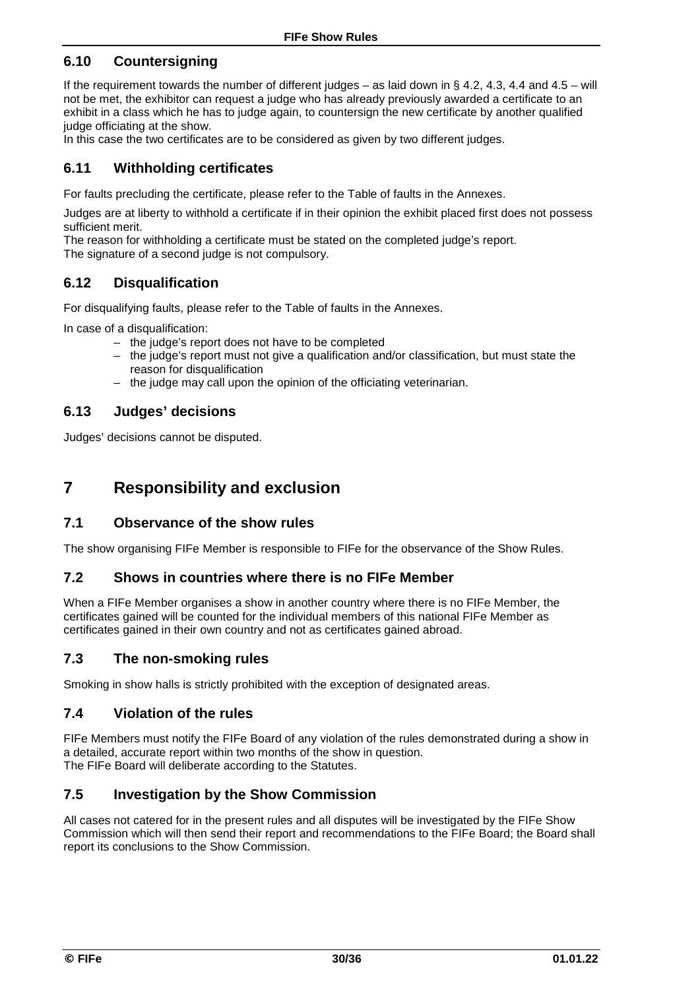### **6.10 Countersigning**

If the requirement towards the number of different judges – as laid down in § 4.2, 4.3, 4.4 and 4.5 – will not be met, the exhibitor can request a judge who has already previously awarded a certificate to an exhibit in a class which he has to judge again, to countersign the new certificate by another qualified judge officiating at the show.

In this case the two certificates are to be considered as given by two different judges.

### **6.11 Withholding certificates**

For faults precluding the certificate, please refer to the Table of faults in the Annexes.

Judges are at liberty to withhold a certificate if in their opinion the exhibit placed first does not possess sufficient merit.

The reason for withholding a certificate must be stated on the completed judge's report. The signature of a second judge is not compulsory.

### **6.12 Disqualification**

For disqualifying faults, please refer to the Table of faults in the Annexes.

In case of a disqualification:

- the judge's report does not have to be completed
- the judge's report must not give a qualification and/or classification, but must state the reason for disqualification
- the judge may call upon the opinion of the officiating veterinarian.

#### **6.13 Judges' decisions**

Judges' decisions cannot be disputed.

## **7 Responsibility and exclusion**

### **7.1 Observance of the show rules**

The show organising FIFe Member is responsible to FIFe for the observance of the Show Rules.

#### **7.2 Shows in countries where there is no FIFe Member**

When a FIFe Member organises a show in another country where there is no FIFe Member, the certificates gained will be counted for the individual members of this national FIFe Member as certificates gained in their own country and not as certificates gained abroad.

#### **7.3 The non-smoking rules**

Smoking in show halls is strictly prohibited with the exception of designated areas.

#### **7.4 Violation of the rules**

FIFe Members must notify the FIFe Board of any violation of the rules demonstrated during a show in a detailed, accurate report within two months of the show in question. The FIFe Board will deliberate according to the Statutes.

### **7.5 Investigation by the Show Commission**

All cases not catered for in the present rules and all disputes will be investigated by the FIFe Show Commission which will then send their report and recommendations to the FIFe Board; the Board shall report its conclusions to the Show Commission.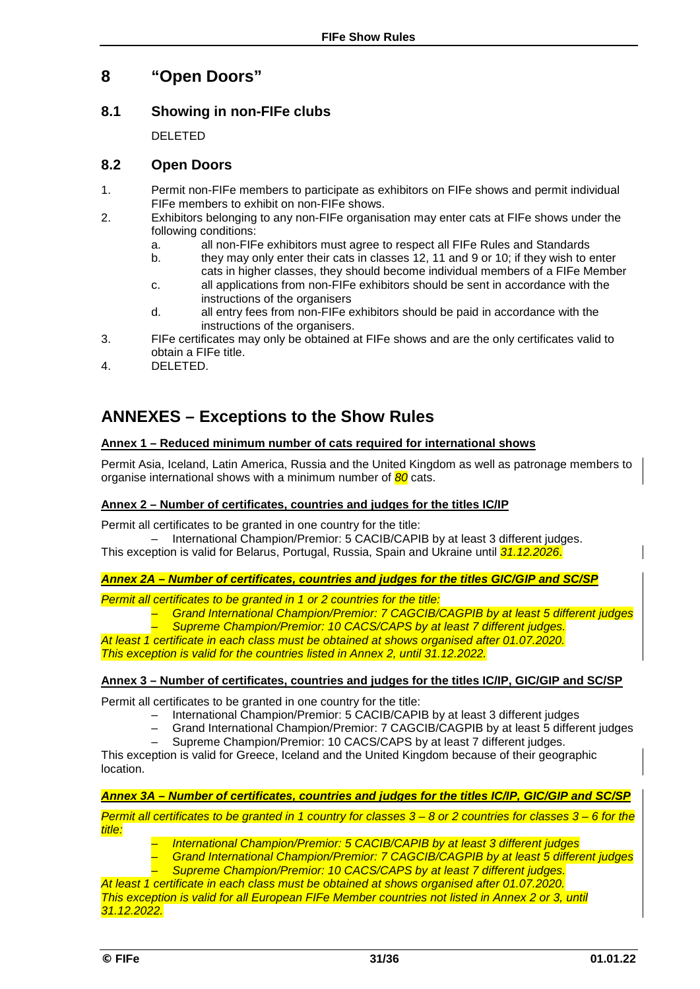## **8 "Open Doors"**

### **8.1 Showing in non-FIFe clubs**

DELETED

### **8.2 Open Doors**

- 1. Permit non-FIFe members to participate as exhibitors on FIFe shows and permit individual FIFe members to exhibit on non-FIFe shows.
- 2. Exhibitors belonging to any non-FIFe organisation may enter cats at FIFe shows under the following conditions:<br>a. all non-FIF
	- a. all non-FIFe exhibitors must agree to respect all FIFe Rules and Standards
	- they may only enter their cats in classes 12, 11 and 9 or 10; if they wish to enter cats in higher classes, they should become individual members of a FIFe Member
	- c. all applications from non-FIFe exhibitors should be sent in accordance with the instructions of the organisers
	- d. all entry fees from non-FIFe exhibitors should be paid in accordance with the instructions of the organisers.
- 3. FIFe certificates may only be obtained at FIFe shows and are the only certificates valid to obtain a FIFe title.
- 4. DELETED.

## **ANNEXES – Exceptions to the Show Rules**

#### **Annex 1 – Reduced minimum number of cats required for international shows**

Permit Asia, Iceland, Latin America, Russia and the United Kingdom as well as patronage members to organise international shows with a minimum number of *80* cats.

#### **Annex 2 – Number of certificates, countries and judges for the titles IC/IP**

Permit all certificates to be granted in one country for the title:

– International Champion/Premior: 5 CACIB/CAPIB by at least 3 different judges. This exception is valid for Belarus, Portugal, Russia, Spain and Ukraine until *31.12.2026*.

#### *Annex 2A – Number of certificates, countries and judges for the titles GIC/GIP and SC/SP*

*Permit all certificates to be granted in 1 or 2 countries for the title:* 

- *Grand International Champion/Premior: 7 CAGCIB/CAGPIB by at least 5 different judges*
- *Supreme Champion/Premior: 10 CACS/CAPS by at least 7 different judges.*

*At least 1 certificate in each class must be obtained at shows organised after 01.07.2020. This exception is valid for the countries listed in Annex 2, until 31.12.2022.*

#### **Annex 3 – Number of certificates, countries and judges for the titles IC/IP, GIC/GIP and SC/SP**

Permit all certificates to be granted in one country for the title:

- International Champion/Premior: 5 CACIB/CAPIB by at least 3 different judges
- Grand International Champion/Premior: 7 CAGCIB/CAGPIB by at least 5 different judges

– Supreme Champion/Premior: 10 CACS/CAPS by at least 7 different judges. This exception is valid for Greece, Iceland and the United Kingdom because of their geographic location.

#### *Annex 3A – Number of certificates, countries and judges for the titles IC/IP, GIC/GIP and SC/SP*

*Permit all certificates to be granted in 1 country for classes 3 – 8 or 2 countries for classes 3 – 6 for the title:*

- *International Champion/Premior: 5 CACIB/CAPIB by at least 3 different judges*
- *Grand International Champion/Premior: 7 CAGCIB/CAGPIB by at least 5 different judges*
- *Supreme Champion/Premior: 10 CACS/CAPS by at least 7 different judges.*

*At least 1 certificate in each class must be obtained at shows organised after 01.07.2020. This exception is valid for all European FIFe Member countries not listed in Annex 2 or 3, until 31.12.2022.*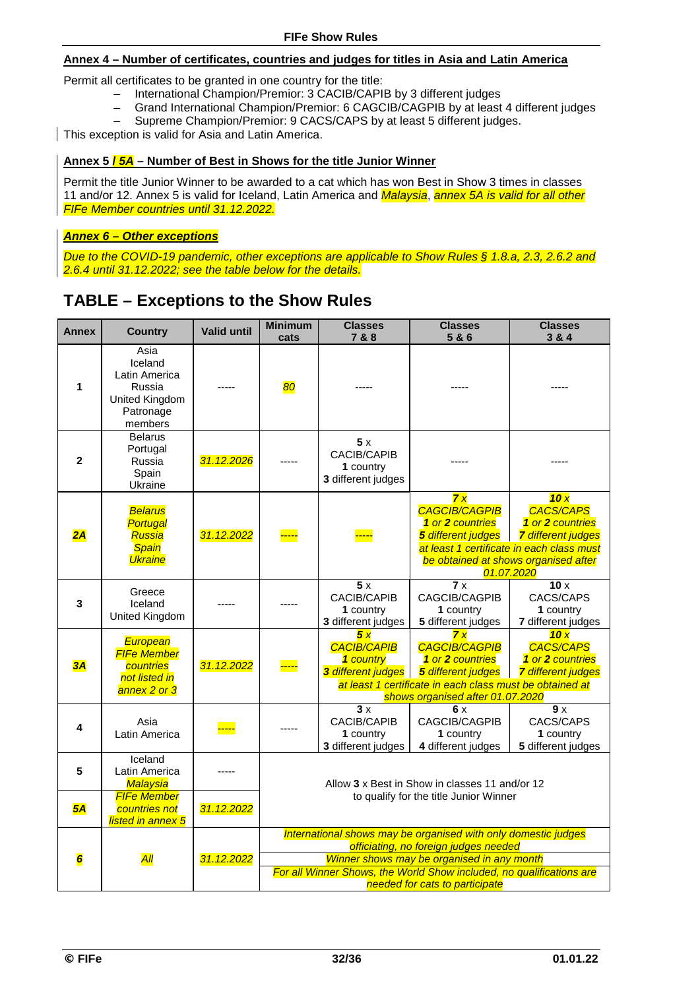#### **Annex 4 – Number of certificates, countries and judges for titles in Asia and Latin America**

Permit all certificates to be granted in one country for the title:

- International Champion/Premior: 3 CACIB/CAPIB by 3 different judges<br>
Grand International Champion/Premior: 6 CAGCIB/CAGPIB by at least
- Grand International Champion/Premior: 6 CAGCIB/CAGPIB by at least 4 different judges
- Supreme Champion/Premior: 9 CACS/CAPS by at least 5 different judges.

This exception is valid for Asia and Latin America.

#### **Annex 5 /** *5A* **– Number of Best in Shows for the title Junior Winner**

Permit the title Junior Winner to be awarded to a cat which has won Best in Show 3 times in classes 11 and/or 12. Annex 5 is valid for Iceland, Latin America and *Malaysia*, *annex 5A is valid for all other FIFe Member countries until 31.12.2022.* 

#### *Annex 6 – Other exceptions*

*Due to the COVID-19 pandemic, other exceptions are applicable to Show Rules § 1.8.a, 2.3, 2.6.2 and 2.6.4 until 31.12.2022; see the table below for the details.* 

## **TABLE – Exceptions to the Show Rules**

| <b>Annex</b> | <b>Country</b>                                                                       | <b>Valid until</b> | <b>Minimum</b><br>cats                                                                                  | <b>Classes</b><br>7 & 8                                     | <b>Classes</b><br>5&6                                                                                                                                                | <b>Classes</b><br>3 & 4                                                                                                                                                     |  |  |
|--------------|--------------------------------------------------------------------------------------|--------------------|---------------------------------------------------------------------------------------------------------|-------------------------------------------------------------|----------------------------------------------------------------------------------------------------------------------------------------------------------------------|-----------------------------------------------------------------------------------------------------------------------------------------------------------------------------|--|--|
| 1            | Asia<br>Iceland<br>Latin America<br>Russia<br>United Kingdom<br>Patronage<br>members |                    | 80                                                                                                      |                                                             |                                                                                                                                                                      |                                                                                                                                                                             |  |  |
| $\mathbf{2}$ | Belarus<br>Portugal<br>Russia<br>Spain<br>Ukraine                                    | 31.12.2026         |                                                                                                         | 5x<br><b>CACIB/CAPIB</b><br>1 country<br>3 different judges |                                                                                                                                                                      |                                                                                                                                                                             |  |  |
| 2A           | <b>Belarus</b><br>Portugal<br>Russia<br><b>Spain</b><br><b>Ukraine</b>               | 31.12.2022         |                                                                                                         |                                                             | 7x<br><b>CAGCIB/CAGPIB</b><br>1 or 2 countries<br>5 different judges                                                                                                 | 10x<br><b>CACS/CAPS</b><br>1 or 2 countries<br><b>7</b> different judges<br>at least 1 certificate in each class must<br>be obtained at shows organised after<br>01.07.2020 |  |  |
| 3            | Greece<br>Iceland<br>United Kingdom                                                  |                    |                                                                                                         | 5x<br>CACIB/CAPIB<br>1 country<br>3 different judges        | 7x<br>CAGCIB/CAGPIB<br>1 country<br>5 different judges                                                                                                               | 10x<br>CACS/CAPS<br>1 country<br>7 different judges                                                                                                                         |  |  |
| 3A           | European<br><b>FIFe Member</b><br>countries<br>not listed in<br>annex 2 or 3         | 31.12.2022         |                                                                                                         | 5x<br><b>CACIB/CAPIB</b><br>1 country<br>3 different judges | 7x<br><b>CAGCIB/CAGPIB</b><br>1 or 2 countries<br>5 different judges<br>at least 1 certificate in each class must be obtained at<br>shows organised after 01.07.2020 | 10x<br><b>CACS/CAPS</b><br>1 or 2 countries<br><b>7</b> different judges                                                                                                    |  |  |
| 4            | Asia<br>Latin America                                                                |                    |                                                                                                         | 3x<br>CACIB/CAPIB<br>1 country<br>3 different judges        | 6 x<br>CAGCIB/CAGPIB<br>1 country<br>4 different judges                                                                                                              | 9 x<br>CACS/CAPS<br>1 country<br>5 different judges                                                                                                                         |  |  |
| 5            | Iceland<br>Latin America<br>Malaysia                                                 |                    | Allow 3 x Best in Show in classes 11 and/or 12<br>to qualify for the title Junior Winner                |                                                             |                                                                                                                                                                      |                                                                                                                                                                             |  |  |
| 5A           | <b>FIFe Member</b><br>countries not<br>listed in annex 5                             | 31.12.2022         |                                                                                                         |                                                             |                                                                                                                                                                      |                                                                                                                                                                             |  |  |
|              |                                                                                      |                    | International shows may be organised with only domestic judges<br>officiating, no foreign judges needed |                                                             |                                                                                                                                                                      |                                                                                                                                                                             |  |  |
| 6            | $\overline{All}$                                                                     | 31.12.2022         |                                                                                                         |                                                             | Winner shows may be organised in any month                                                                                                                           |                                                                                                                                                                             |  |  |
|              |                                                                                      |                    | For all Winner Shows, the World Show included, no qualifications are<br>needed for cats to participate  |                                                             |                                                                                                                                                                      |                                                                                                                                                                             |  |  |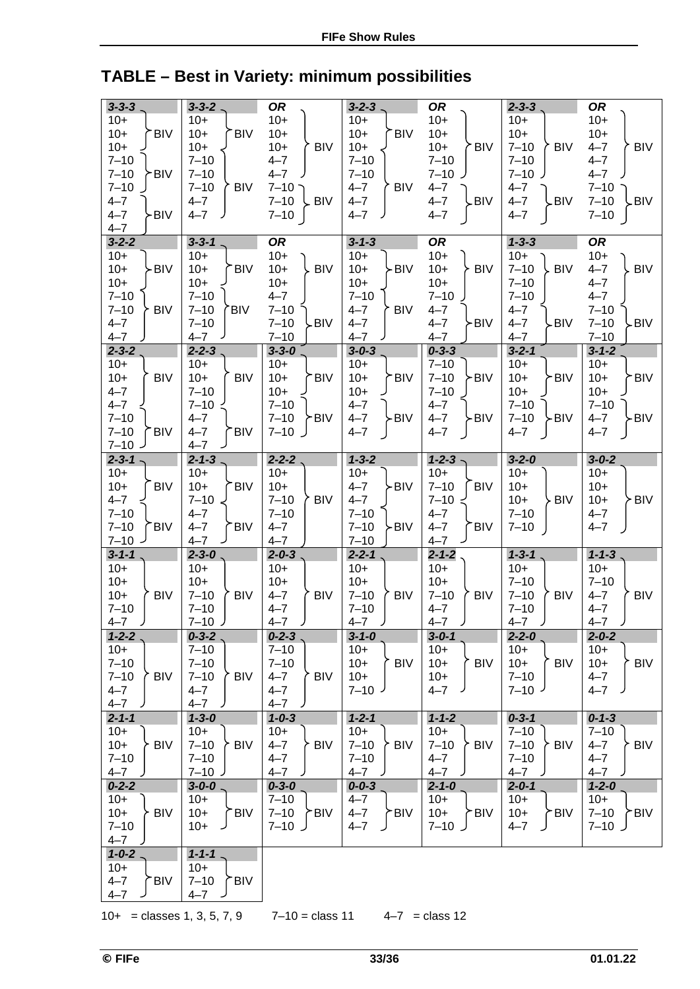# **TABLE – Best in Variety: minimum possibilities**

| $3 - 3 - 3$                         | $3 - 3 - 2$            | <b>OR</b>             | $3 - 2 - 3$ .          | <b>OR</b>              | $2 - 3 - 3$            | <b>OR</b>             |
|-------------------------------------|------------------------|-----------------------|------------------------|------------------------|------------------------|-----------------------|
| $10+$                               | $10+$                  | $10+$                 | $10+$                  | $10+$                  | $10+$                  | $10+$                 |
| $10+$<br><b>BIV</b>                 | $10+$<br><b>BIV</b>    | $10+$                 | $10+$<br><b>BIV</b>    | $10+$                  | $10+$                  | $10+$                 |
|                                     |                        |                       |                        |                        |                        |                       |
| $10+$                               | $10+$                  | $10+$<br><b>BIV</b>   | $10+$                  | $10+$<br><b>BIV</b>    | $7 - 10$<br>BIV        | $4 - 7$<br><b>BIV</b> |
| $7 - 10$                            | $7 - 10$               | $4 - 7$               | $7 - 10$               | $7 - 10$               | $7 - 10$               | $4 - 7$               |
| $7 - 10$<br>≻BIV                    | $7 - 10$               | $4 - 7$               | $7 - 10$               | $7 - 10$               | $7 - 10$               | $4 - 7$               |
| $7 - 10$                            | $7 - 10$<br><b>BIV</b> | $7 - 10$ $\supset$    | $4 - 7$<br><b>BIV</b>  | $4 - 7$                | $4 - 7$                | $7 - 10$              |
| $4 - 7$                             | $4 - 7$                | $7 - 10$<br>. BIV     | $4 - 7$                | $4 - 7$<br>-BIV        | $4 - 7$<br>-BIV        | $7 - 10$<br>.BIV      |
| $4 - 7$<br>≻BIV                     | $4 - 7$                | $7 - 10$              | $4 - 7$                | $4 - 7$                | $4 - 7$                | $7 - 10$              |
| $4 - 7$                             |                        |                       |                        |                        |                        |                       |
| $3 - 2 - 2$                         | $3 - 3 - 1$ .          | <b>OR</b>             | $3 - 1 - 3$            | <b>OR</b>              | $1 - 3 - 3$            | <b>OR</b>             |
| $10+$                               | $10+$                  | $10+$                 | $10+$                  | $10+$                  | $10+$                  | $10+$                 |
| $10+$<br>≻BIV                       | <b>BIV</b><br>$10+$    | $10+$<br><b>BIV</b>   | $10+$<br>-BIV          | $10+$<br><b>BIV</b>    | $7 - 10$<br><b>BIV</b> | $4 - 7$<br><b>BIV</b> |
| $10+$                               | $10+$                  | $10+$                 | $10+$                  | $10+$                  | $7 - 10$               | $4 - 7$               |
| $7 - 10$                            | $7 - 10$               | $4 - 7$               | $7 - 10$               | $7 - 10$               | $7 - 10$               | $4 - 7$               |
| $7 - 10$<br><b>BIV</b>              | $7 - 10$<br>'BIV       | $7 - 10$              | <b>BIV</b><br>$4 - 7$  | $4 - 7$                | $4 - 7$                | $7 - 10$              |
| $4 - 7$                             | $7 - 10$               | $7 - 10$<br>≻BIV      | $4 - 7$                | $4 - 7$<br>≻BIV        | $4 - 7$<br>≻BIV        | $7 - 10$<br>-BIV      |
| $4 - 7$                             | $4 - 7$                | $7 - 10$              | $4 - 7$                | $4 - 7$                | $4 - 7$                | $7 - 10$              |
| $2 - 3 - 2$                         | $2 - 2 - 3$            | $3 - 3 - 0$           | $3 - 0 - 3$            | $0 - 3 - 3$            | $3 - 2 - 1$            | $3 - 1 - 2$           |
| $10+$                               | $10+$                  | $10+$                 | $10+$                  | $7 - 10$               | $10+$                  | $10+$                 |
| $10+$<br><b>BIV</b>                 | $10+$<br><b>BIV</b>    | $10+$<br>™BIV         | $10+$<br><b>BIV</b>    | $7 - 10$<br>≻BIV       | $10+$<br>≻BIV          | $10+$<br><b>BIV</b>   |
| $4 - 7$                             | $7 - 10$               | $10+$                 | $10+$                  | $7 - 10$               | $10+$                  | $10+$                 |
|                                     |                        |                       |                        |                        |                        |                       |
| $4 - 7$                             | $7 - 10$               | $7 - 10$              | $4 - 7$                | $4 - 7$                | $7 - 10$               | $7 - 10$              |
| $7 - 10$                            | $4 - 7$                | $7 - 10$<br>≻BIV      | -BIV<br>$4 - 7$        | $4 - 7$<br>>BIV        | ≻BIV<br>$7 - 10$       | -BIV<br>$4 - 7$       |
| $7 - 10$<br><b>BIV</b>              | <b>BIV</b><br>$4 - 7$  | $7 - 10$              | $4 - 7$                | $4 - 7$                | $4 - 7$                | $4 - 7$               |
| $7 - 10$<br>ر                       | $4 - 7$                |                       |                        |                        |                        |                       |
| $2 - 3 - 1$                         | $2 - 1 - 3$            | $2 - 2 - 2$           | $1 - 3 - 2$            | $1 - 2 - 3$            | $3 - 2 - 0$            | $3 - 0 - 2$           |
| $10+$                               | $10+$                  | $10+$                 | $10+$                  | $10+$                  | $10+$                  | $10+$                 |
| <b>BIV</b><br>$10+$                 | $10+$<br><b>BIV</b>    | $10+$                 | -BIV<br>$4 - 7$        | $7 - 10$<br><b>BIV</b> | $10+$                  | $10+$                 |
| $4 - 7$                             | $7 - 10$               | $7 - 10$<br>' BIV     | $4 - 7$                | $7 - 10$               | $10+$<br>∑ BIV         | $10+$<br>≻ BIV        |
| $7 - 10$                            | $4 - 7$                | $7 - 10$              | $7 - 10$               | $4 - 7$                | $7 - 10$               | $4 - 7$               |
| $7 - 10$<br><b>BIV</b>              | $4 - 7$<br><b>BIV</b>  | $4 - 7$               | $7 - 10$<br>-BIV       | $4 - 7$<br><b>BIV</b>  | $7 - 10$               | $4 - 7$               |
| $7 - 10$ -                          | $4 - 7$                | $4 - 7$               | $7 - 10$               | $4 - 7$                |                        |                       |
| $3 - 1 - 1$                         | $2 - 3 - 0$            | $2 - 0 - 3$           | $2 - 2 - 1$            | $2 - 1 - 2$            | $1 - 3 - 1$            | $1 - 1 - 3$           |
| $10+$                               | $10+$                  | $10+$                 | $10+$                  | $10+$                  | $10+$                  | $10+$                 |
| $10+$                               | $10+$                  | $10+$                 | $10+$                  | $10+$                  | $7 - 10$               | $7 - 10$              |
| $10+$<br><b>BIV</b>                 | $7 - 10$<br><b>BIV</b> | $4 - 7$<br><b>BIV</b> | $7 - 10$<br><b>BIV</b> | $7 - 10$<br><b>BIV</b> | $7 - 10$<br><b>BIV</b> | $4 - 7$<br>BIV        |
| $7 - 10$                            | $7 - 10$               | $4 - 7$               | $7 - 10$               | $4 - 7$                | $7 - 10$               | $4 - 7$               |
| $4 - 7$<br>$\overline{\phantom{a}}$ | $7 - 10$ )             | $4 - 7$<br>╯          | $4 - 7$<br>╯           | $4 - 7$<br>╯           | $4 - 7$<br>╯           | $4 - 7$<br>╯          |
| $1 - 2 - 2$                         | $0 - 3 - 2$            | $0 - 2 - 3$           | $3 - 1 - 0$            | $3 - 0 - 1$            | $2 - 2 - 0$            | $2 - 0 - 2$           |
| $10+$                               | $7 - 10$               | $7 - 10$              | $10+$                  | $10+$                  | $10+$                  | $10+$                 |
| $7 - 10$                            | $7 - 10$               | $7 - 10$              | ∕ BIV ∂<br>$10+$       | $10+$<br><b>BIV</b>    | $10+$<br>້ BIV         | <b>BIV</b><br>$10+$   |
| $7 - 10$<br><b>BIV</b>              | $7 - 10$<br><b>BIV</b> | $4 - 7$<br>∕ BIV      | $10+$                  | $10+$                  | $7 - 10$               | $4 - 7$               |
| $4 - 7$                             | $4 - 7$                | $4 - 7$               | $7 - 10$               | $4 - 7$                | $7 - 10^{1}$           | $4 - 7$               |
| $4 - 7$                             | $4 - 7$                | $4 - 7$               |                        |                        |                        |                       |
| $2 - 1 - 1$                         | $1 - 3 - 0$            | $1 - 0 - 3$           | $1 - 2 - 1$            | $1 - 1 - 2$            | $0 - 3 - 1$            | $0 - 1 - 3$           |
| $10+$                               | $10+$                  | $10+$                 | $10+$                  | $10+$                  | $7 - 10$               | $7 - 10$              |
| $10+$<br><b>BIV</b>                 | $7 - 10$<br><b>BIV</b> | $4 - 7$<br><b>BIV</b> | <b>BIV</b>             | $7 - 10$<br><b>BIV</b> | $7 - 10$<br>≻ BIV      | <b>BIV</b><br>$4 - 7$ |
|                                     |                        |                       | $7 - 10$               |                        |                        |                       |
| $7 - 10$                            | $7 - 10$               | $4 - 7$               | $7 - 10$               | $4 - 7$                | $7 - 10$               | $4 - 7$               |
| $4 - 7$                             | $7 - 10$ J             | $4 - 7$               | $4 - 7$                | $4 - 7$                | $4 - 7$                | $4 - 7$               |
| $0 - 2 - 2$                         | $3 - 0 - 0$ .          | $0 - 3 - 0$           | $0 - 0 - 3$            | $2 - 1 - 0$            | $2 - 0 - 1$            | $1 - 2 - 0$           |
| $10+$                               | $10+$                  | $7 - 10$              | $4 - 7$                | $10+$                  | $10+$                  | $10+$                 |
| <b>BIV</b><br>$10+$                 | $10+$<br>.BIV          | $7 - 10$<br>≻BIV      | $4 - 7$<br>∕BIV⊺       | $10+$<br>≻BIV          | $10+$<br>≻BIV          | $7 - 10$<br>≻BIV      |
| $7 - 10$                            | $10+$                  | ل 10–7                | $4 - 7$                | ل 10–7                 | $4 - 7$                | $7 - 10$              |
| $4 - 7$                             |                        |                       |                        |                        |                        |                       |
| $1 - 0 - 2$                         | $1 - 1 - 1$ .          |                       |                        |                        |                        |                       |
| $10+$                               | $10+$                  |                       |                        |                        |                        |                       |
| <b>BIV</b><br>$4 - 7$               | $7 - 10$<br><b>BIV</b> |                       |                        |                        |                        |                       |
| $4 - 7$                             | $4 - 7$                |                       |                        |                        |                        |                       |

10+ = classes 1, 3, 5, 7, 9  $7-10 =$  class 11  $4-7 =$  class 12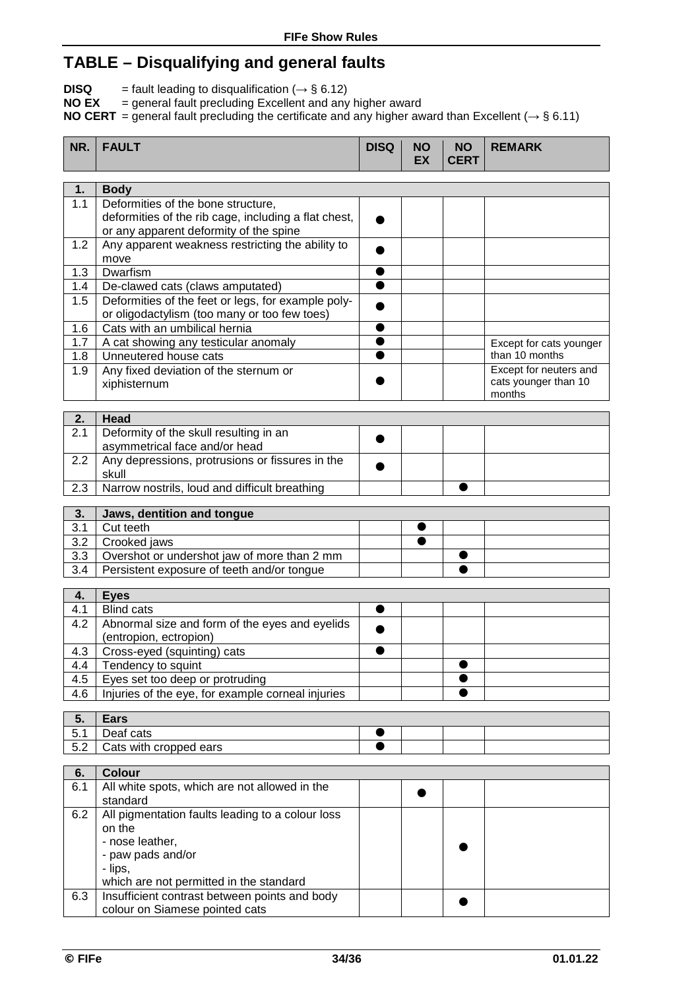## **TABLE – Disqualifying and general faults**

**DISQ**  $=$  fault leading to disqualification ( $\rightarrow$  § 6.12)

**NO EX** = general fault precluding Excellent and any higher award

**NO CERT** = general fault precluding the certificate and any higher award than Excellent (*→* § 6.11)

| NR.       | <b>FAULT</b>                                                                                       | <b>DISQ</b> | <b>NO</b><br><b>EX</b> | <b>NO</b><br><b>CERT</b> | <b>REMARK</b>           |
|-----------|----------------------------------------------------------------------------------------------------|-------------|------------------------|--------------------------|-------------------------|
| 1.        | <b>Body</b>                                                                                        |             |                        |                          |                         |
| 1.1       | Deformities of the bone structure,                                                                 |             |                        |                          |                         |
|           | deformities of the rib cage, including a flat chest,                                               |             |                        |                          |                         |
|           | or any apparent deformity of the spine                                                             |             |                        |                          |                         |
| 1.2       | Any apparent weakness restricting the ability to                                                   |             |                        |                          |                         |
|           | move                                                                                               |             |                        |                          |                         |
| 1.3       | Dwarfism                                                                                           |             |                        |                          |                         |
| 1.4       | De-clawed cats (claws amputated)                                                                   |             |                        |                          |                         |
| 1.5       | Deformities of the feet or legs, for example poly-<br>or oligodactylism (too many or too few toes) |             |                        |                          |                         |
| 1.6       | Cats with an umbilical hernia                                                                      |             |                        |                          |                         |
| 1.7       | A cat showing any testicular anomaly                                                               |             |                        |                          | Except for cats younger |
| 1.8       | Unneutered house cats                                                                              |             |                        |                          | than 10 months          |
| 1.9       | Any fixed deviation of the sternum or                                                              |             |                        |                          | Except for neuters and  |
|           | xiphisternum                                                                                       |             |                        |                          | cats younger than 10    |
|           |                                                                                                    |             |                        |                          | months                  |
| 2.        | Head                                                                                               |             |                        |                          |                         |
| 2.1       | Deformity of the skull resulting in an                                                             |             |                        |                          |                         |
|           | asymmetrical face and/or head                                                                      |             |                        |                          |                         |
| 2.2       | Any depressions, protrusions or fissures in the                                                    |             |                        |                          |                         |
|           | skull                                                                                              |             |                        |                          |                         |
| 2.3       | Narrow nostrils, loud and difficult breathing                                                      |             |                        |                          |                         |
| 3.        | Jaws, dentition and tongue                                                                         |             |                        |                          |                         |
| 3.1       | Cut teeth                                                                                          |             | ●                      |                          |                         |
| 3.2       | Crooked jaws                                                                                       |             | ●                      |                          |                         |
| 3.3       | Overshot or undershot jaw of more than 2 mm                                                        |             |                        | ●                        |                         |
| 3.4       | Persistent exposure of teeth and/or tongue                                                         |             |                        |                          |                         |
| 4.        | <b>Eyes</b>                                                                                        |             |                        |                          |                         |
| 4.1       | <b>Blind cats</b>                                                                                  |             |                        |                          |                         |
| 4.2       | Abnormal size and form of the eyes and eyelids                                                     |             |                        |                          |                         |
|           | (entropion, ectropion)                                                                             |             |                        |                          |                         |
| 4.3       | Cross-eyed (squinting) cats                                                                        |             |                        |                          |                         |
| 4.4       | Tendency to squint                                                                                 |             |                        |                          |                         |
| 4.5       | Eyes set too deep or protruding                                                                    |             |                        |                          |                         |
| 4.6       | Injuries of the eye, for example corneal injuries                                                  |             |                        |                          |                         |
|           |                                                                                                    |             |                        |                          |                         |
| 5.<br>5.1 | <b>Ears</b><br>Deaf cats                                                                           |             |                        |                          |                         |
| 5.2       | Cats with cropped ears                                                                             |             |                        |                          |                         |
|           |                                                                                                    |             |                        |                          |                         |
| 6.        | <b>Colour</b>                                                                                      |             |                        |                          |                         |
| 6.1       | All white spots, which are not allowed in the                                                      |             |                        |                          |                         |
|           | standard                                                                                           |             |                        |                          |                         |
| 6.2       | All pigmentation faults leading to a colour loss                                                   |             |                        |                          |                         |
|           | on the                                                                                             |             |                        |                          |                         |
|           | - nose leather,<br>- paw pads and/or                                                               |             |                        |                          |                         |
|           | - lips,                                                                                            |             |                        |                          |                         |
|           | which are not permitted in the standard                                                            |             |                        |                          |                         |
| 6.3       | Insufficient contrast between points and body                                                      |             |                        |                          |                         |
|           | colour on Siamese pointed cats                                                                     |             |                        |                          |                         |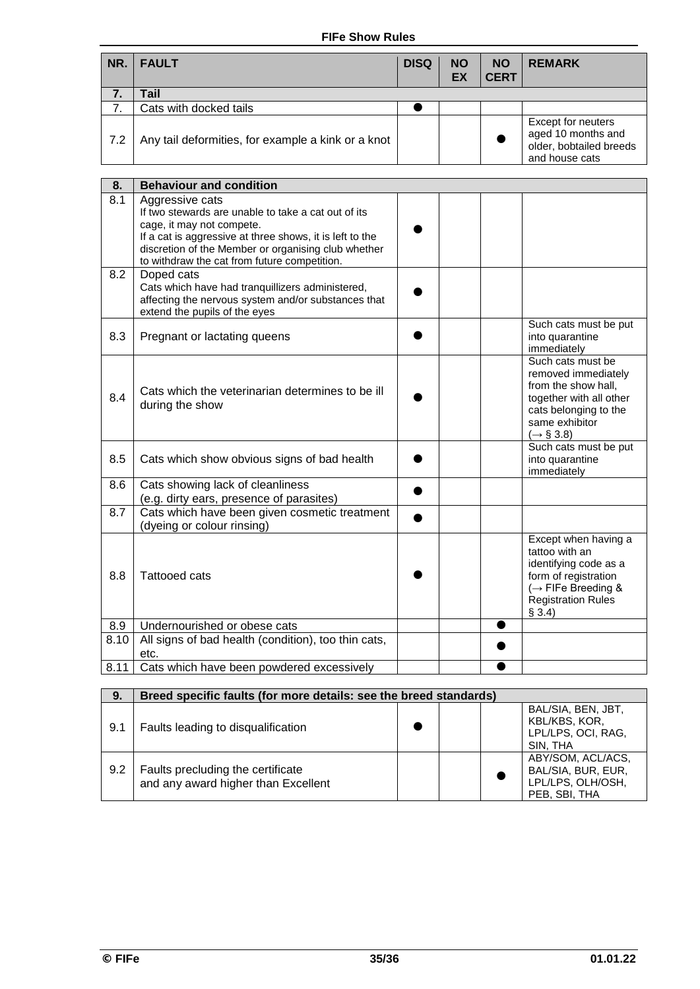#### **FIFe Show Rules**

| NR. | <b>FAULT</b>                                       | <b>DISQ</b> | <b>NO</b><br>EX | <b>NO</b><br><b>CERT</b> | <b>REMARK</b>                                                                         |
|-----|----------------------------------------------------|-------------|-----------------|--------------------------|---------------------------------------------------------------------------------------|
| 7.  | Tail                                               |             |                 |                          |                                                                                       |
| 7   | Cats with docked tails                             |             |                 |                          |                                                                                       |
| 7.2 | Any tail deformities, for example a kink or a knot |             |                 |                          | Except for neuters<br>aged 10 months and<br>older, bobtailed breeds<br>and house cats |

| 8.   | <b>Behaviour and condition</b>                                                                                                                                                                                                                                         |                                                                                                                                                                     |
|------|------------------------------------------------------------------------------------------------------------------------------------------------------------------------------------------------------------------------------------------------------------------------|---------------------------------------------------------------------------------------------------------------------------------------------------------------------|
| 8.1  | Aggressive cats<br>If two stewards are unable to take a cat out of its<br>cage, it may not compete.<br>If a cat is aggressive at three shows, it is left to the<br>discretion of the Member or organising club whether<br>to withdraw the cat from future competition. |                                                                                                                                                                     |
| 8.2  | Doped cats<br>Cats which have had tranquillizers administered,<br>affecting the nervous system and/or substances that<br>extend the pupils of the eyes                                                                                                                 |                                                                                                                                                                     |
| 8.3  | Pregnant or lactating queens                                                                                                                                                                                                                                           | Such cats must be put<br>into quarantine<br>immediately                                                                                                             |
| 8.4  | Cats which the veterinarian determines to be ill<br>during the show                                                                                                                                                                                                    | Such cats must be<br>removed immediately<br>from the show hall,<br>together with all other<br>cats belonging to the<br>same exhibitor<br>$(\rightarrow \S 3.8)$     |
| 8.5  | Cats which show obvious signs of bad health                                                                                                                                                                                                                            | Such cats must be put<br>into quarantine<br>immediately                                                                                                             |
| 8.6  | Cats showing lack of cleanliness<br>(e.g. dirty ears, presence of parasites)                                                                                                                                                                                           |                                                                                                                                                                     |
| 8.7  | Cats which have been given cosmetic treatment<br>(dyeing or colour rinsing)                                                                                                                                                                                            |                                                                                                                                                                     |
| 8.8  | <b>Tattooed cats</b>                                                                                                                                                                                                                                                   | Except when having a<br>tattoo with an<br>identifying code as a<br>form of registration<br>$\leftrightarrow$ FIFe Breeding &<br><b>Registration Rules</b><br>\$3.4) |
| 8.9  | Undernourished or obese cats                                                                                                                                                                                                                                           |                                                                                                                                                                     |
| 8.10 | All signs of bad health (condition), too thin cats,<br>etc.                                                                                                                                                                                                            |                                                                                                                                                                     |
| 8.11 | Cats which have been powdered excessively                                                                                                                                                                                                                              |                                                                                                                                                                     |

| 9.  | Breed specific faults (for more details: see the breed standards)        |  |  |  |                                                                               |  |
|-----|--------------------------------------------------------------------------|--|--|--|-------------------------------------------------------------------------------|--|
| 9.1 | Faults leading to disqualification                                       |  |  |  | BAL/SIA, BEN, JBT,<br>KBL/KBS, KOR,<br>LPL/LPS, OCI, RAG,<br>SIN. THA         |  |
| 9.2 | Faults precluding the certificate<br>and any award higher than Excellent |  |  |  | ABY/SOM, ACL/ACS,<br>BAL/SIA, BUR, EUR,<br>LPL/LPS, OLH/OSH,<br>PEB, SBI, THA |  |